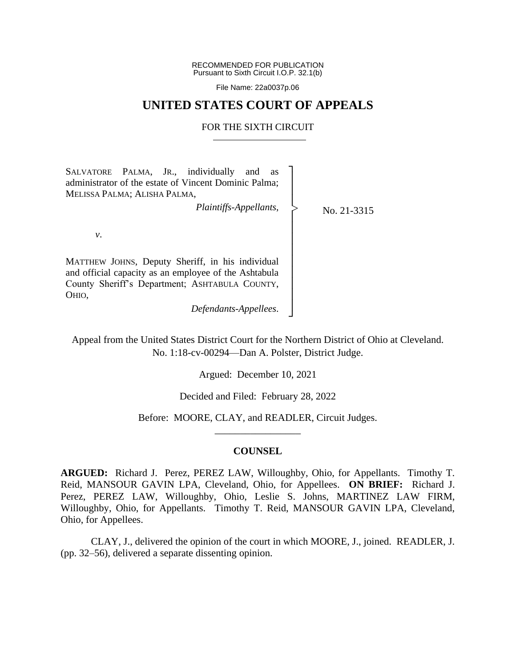RECOMMENDED FOR PUBLICATION Pursuant to Sixth Circuit I.O.P. 32.1(b)

File Name: 22a0037p.06

## **UNITED STATES COURT OF APPEALS**

## FOR THE SIXTH CIRCUIT

┐ │ │ │ │ │ │ │ │ │ │ │ │ ┘

|<br>|>

SALVATORE PALMA, JR., individually and as administrator of the estate of Vincent Dominic Palma; MELISSA PALMA; ALISHA PALMA,

*Plaintiffs-Appellants*,

No. 21-3315

*v*.

MATTHEW JOHNS, Deputy Sheriff, in his individual and official capacity as an employee of the Ashtabula County Sheriff's Department; ASHTABULA COUNTY, OHIO,

*Defendants-Appellees*.

Appeal from the United States District Court for the Northern District of Ohio at Cleveland. No. 1:18-cv-00294—Dan A. Polster, District Judge.

Argued: December 10, 2021

Decided and Filed: February 28, 2022

Before: MOORE, CLAY, and READLER, Circuit Judges. \_\_\_\_\_\_\_\_\_\_\_\_\_\_\_\_\_

## **COUNSEL**

**ARGUED:** Richard J. Perez, PEREZ LAW, Willoughby, Ohio, for Appellants. Timothy T. Reid, MANSOUR GAVIN LPA, Cleveland, Ohio, for Appellees. **ON BRIEF:** Richard J. Perez, PEREZ LAW, Willoughby, Ohio, Leslie S. Johns, MARTINEZ LAW FIRM, Willoughby, Ohio, for Appellants. Timothy T. Reid, MANSOUR GAVIN LPA, Cleveland, Ohio, for Appellees.

CLAY, J., delivered the opinion of the court in which MOORE, J., joined. READLER, J. (pp. 32–56), delivered a separate dissenting opinion.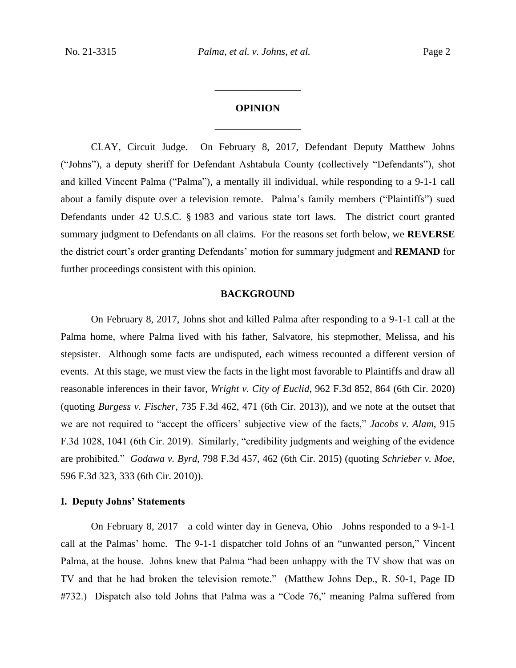# **OPINION** \_\_\_\_\_\_\_\_\_\_\_\_\_\_\_\_\_

\_\_\_\_\_\_\_\_\_\_\_\_\_\_\_\_\_

CLAY, Circuit Judge. On February 8, 2017, Defendant Deputy Matthew Johns ("Johns"), a deputy sheriff for Defendant Ashtabula County (collectively "Defendants"), shot and killed Vincent Palma ("Palma"), a mentally ill individual, while responding to a 9-1-1 call about a family dispute over a television remote. Palma's family members ("Plaintiffs") sued Defendants under 42 U.S.C. § 1983 and various state tort laws. The district court granted summary judgment to Defendants on all claims. For the reasons set forth below, we **REVERSE**  the district court's order granting Defendants' motion for summary judgment and **REMAND** for further proceedings consistent with this opinion.

## **BACKGROUND**

On February 8, 2017, Johns shot and killed Palma after responding to a 9-1-1 call at the Palma home, where Palma lived with his father, Salvatore, his stepmother, Melissa, and his stepsister. Although some facts are undisputed, each witness recounted a different version of events. At this stage, we must view the facts in the light most favorable to Plaintiffs and draw all reasonable inferences in their favor, *Wright v. City of Euclid*, 962 F.3d 852, 864 (6th Cir. 2020) (quoting *Burgess v. Fischer*, 735 F.3d 462, 471 (6th Cir. 2013)), and we note at the outset that we are not required to "accept the officers' subjective view of the facts," *Jacobs v. Alam*, 915 F.3d 1028, 1041 (6th Cir. 2019). Similarly, "credibility judgments and weighing of the evidence are prohibited." *Godawa v. Byrd*, 798 F.3d 457, 462 (6th Cir. 2015) (quoting *Schrieber v. Moe*, 596 F.3d 323, 333 (6th Cir. 2010)).

## **I. Deputy Johns' Statements**

On February 8, 2017—a cold winter day in Geneva, Ohio—Johns responded to a 9-1-1 call at the Palmas' home. The 9-1-1 dispatcher told Johns of an "unwanted person," Vincent Palma, at the house. Johns knew that Palma "had been unhappy with the TV show that was on TV and that he had broken the television remote." (Matthew Johns Dep., R. 50-1, Page ID #732.) Dispatch also told Johns that Palma was a "Code 76," meaning Palma suffered from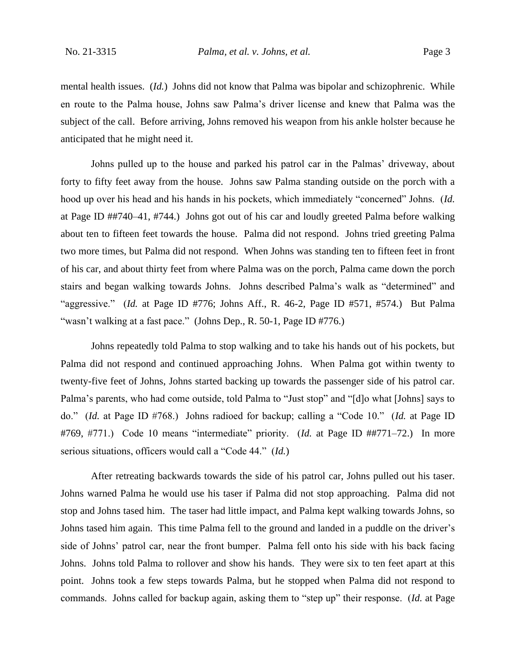mental health issues. (*Id.*) Johns did not know that Palma was bipolar and schizophrenic. While en route to the Palma house, Johns saw Palma's driver license and knew that Palma was the subject of the call. Before arriving, Johns removed his weapon from his ankle holster because he anticipated that he might need it.

Johns pulled up to the house and parked his patrol car in the Palmas' driveway, about forty to fifty feet away from the house. Johns saw Palma standing outside on the porch with a hood up over his head and his hands in his pockets, which immediately "concerned" Johns. (*Id.* at Page ID ##740–41, #744.) Johns got out of his car and loudly greeted Palma before walking about ten to fifteen feet towards the house. Palma did not respond. Johns tried greeting Palma two more times, but Palma did not respond. When Johns was standing ten to fifteen feet in front of his car, and about thirty feet from where Palma was on the porch, Palma came down the porch stairs and began walking towards Johns. Johns described Palma's walk as "determined" and "aggressive." (*Id.* at Page ID #776; Johns Aff., R. 46-2, Page ID #571, #574.) But Palma "wasn't walking at a fast pace." (Johns Dep., R. 50-1, Page ID #776.)

Johns repeatedly told Palma to stop walking and to take his hands out of his pockets, but Palma did not respond and continued approaching Johns. When Palma got within twenty to twenty-five feet of Johns, Johns started backing up towards the passenger side of his patrol car. Palma's parents, who had come outside, told Palma to "Just stop" and "[d]o what [Johns] says to do." (*Id.* at Page ID #768.) Johns radioed for backup; calling a "Code 10." (*Id.* at Page ID #769, #771.) Code 10 means "intermediate" priority. (*Id.* at Page ID ##771–72.) In more serious situations, officers would call a "Code 44." (*Id.*)

After retreating backwards towards the side of his patrol car, Johns pulled out his taser. Johns warned Palma he would use his taser if Palma did not stop approaching. Palma did not stop and Johns tased him. The taser had little impact, and Palma kept walking towards Johns, so Johns tased him again. This time Palma fell to the ground and landed in a puddle on the driver's side of Johns' patrol car, near the front bumper. Palma fell onto his side with his back facing Johns. Johns told Palma to rollover and show his hands. They were six to ten feet apart at this point.Johns took a few steps towards Palma, but he stopped when Palma did not respond to commands. Johns called for backup again, asking them to "step up" their response. (*Id.* at Page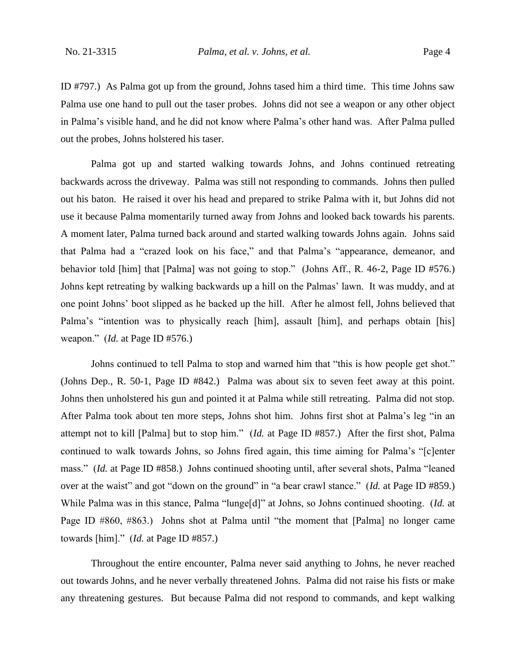ID #797.) As Palma got up from the ground, Johns tased him a third time. This time Johns saw Palma use one hand to pull out the taser probes. Johns did not see a weapon or any other object in Palma's visible hand, and he did not know where Palma's other hand was. After Palma pulled out the probes, Johns holstered his taser.

Palma got up and started walking towards Johns, and Johns continued retreating backwards across the driveway. Palma was still not responding to commands. Johns then pulled out his baton.He raised it over his head and prepared to strike Palma with it, but Johns did not use it because Palma momentarily turned away from Johns and looked back towards his parents. A moment later, Palma turned back around and started walking towards Johns again. Johns said that Palma had a "crazed look on his face," and that Palma's "appearance, demeanor, and behavior told [him] that [Palma] was not going to stop." (Johns Aff., R. 46-2, Page ID #576.) Johns kept retreating by walking backwards up a hill on the Palmas' lawn. It was muddy, and at one point Johns' boot slipped as he backed up the hill. After he almost fell, Johns believed that Palma's "intention was to physically reach [him], assault [him], and perhaps obtain [his] weapon." (*Id.* at Page ID #576.)

Johns continued to tell Palma to stop and warned him that "this is how people get shot." (Johns Dep., R. 50-1, Page ID #842.) Palma was about six to seven feet away at this point. Johns then unholstered his gun and pointed it at Palma while still retreating. Palma did not stop. After Palma took about ten more steps, Johns shot him. Johns first shot at Palma's leg "in an attempt not to kill [Palma] but to stop him." (*Id.* at Page ID #857.) After the first shot, Palma continued to walk towards Johns, so Johns fired again, this time aiming for Palma's "[c]enter mass." (*Id.* at Page ID #858.)Johns continued shooting until, after several shots, Palma "leaned over at the waist" and got "down on the ground" in "a bear crawl stance." (*Id.* at Page ID #859.) While Palma was in this stance, Palma "lunge[d]" at Johns, so Johns continued shooting. (*Id.* at Page ID #860, #863.) Johns shot at Palma until "the moment that [Palma] no longer came towards [him]." (*Id.* at Page ID #857.)

Throughout the entire encounter, Palma never said anything to Johns, he never reached out towards Johns, and he never verbally threatened Johns. Palma did not raise his fists or make any threatening gestures. But because Palma did not respond to commands, and kept walking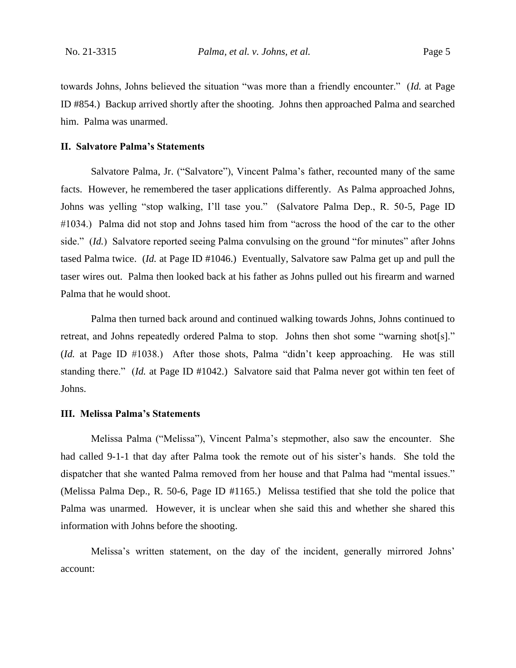towards Johns, Johns believed the situation "was more than a friendly encounter." (*Id.* at Page ID #854.) Backup arrived shortly after the shooting. Johns then approached Palma and searched him. Palma was unarmed.

## **II. Salvatore Palma's Statements**

Salvatore Palma, Jr. ("Salvatore"), Vincent Palma's father, recounted many of the same facts. However, he remembered the taser applications differently. As Palma approached Johns, Johns was yelling "stop walking, I'll tase you." (Salvatore Palma Dep., R. 50-5, Page ID #1034.) Palma did not stop and Johns tased him from "across the hood of the car to the other side." *(Id.)* Salvatore reported seeing Palma convulsing on the ground "for minutes" after Johns tased Palma twice. (*Id.* at Page ID #1046.) Eventually, Salvatore saw Palma get up and pull the taser wires out. Palma then looked back at his father as Johns pulled out his firearm and warned Palma that he would shoot.

Palma then turned back around and continued walking towards Johns, Johns continued to retreat, and Johns repeatedly ordered Palma to stop. Johns then shot some "warning shot[s]." (*Id.* at Page ID #1038.) After those shots, Palma "didn't keep approaching. He was still standing there." (*Id.* at Page ID #1042.) Salvatore said that Palma never got within ten feet of Johns.

## **III. Melissa Palma's Statements**

Melissa Palma ("Melissa"), Vincent Palma's stepmother, also saw the encounter. She had called 9-1-1 that day after Palma took the remote out of his sister's hands. She told the dispatcher that she wanted Palma removed from her house and that Palma had "mental issues." (Melissa Palma Dep., R. 50-6, Page ID #1165.) Melissa testified that she told the police that Palma was unarmed. However, it is unclear when she said this and whether she shared this information with Johns before the shooting.

Melissa's written statement, on the day of the incident, generally mirrored Johns' account: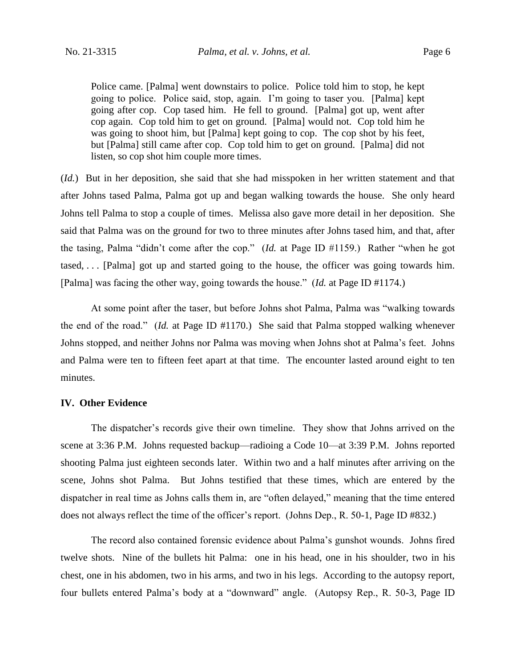Police came. [Palma] went downstairs to police. Police told him to stop, he kept going to police. Police said, stop, again. I'm going to taser you. [Palma] kept going after cop. Cop tased him. He fell to ground. [Palma] got up, went after cop again. Cop told him to get on ground. [Palma] would not. Cop told him he was going to shoot him, but [Palma] kept going to cop. The cop shot by his feet, but [Palma] still came after cop. Cop told him to get on ground. [Palma] did not listen, so cop shot him couple more times.

(*Id.*) But in her deposition, she said that she had misspoken in her written statement and that after Johns tased Palma, Palma got up and began walking towards the house. She only heard Johns tell Palma to stop a couple of times. Melissa also gave more detail in her deposition. She said that Palma was on the ground for two to three minutes after Johns tased him, and that, after the tasing, Palma "didn't come after the cop." (*Id.* at Page ID #1159.) Rather "when he got tased, . . . [Palma] got up and started going to the house, the officer was going towards him. [Palma] was facing the other way, going towards the house." (*Id.* at Page ID #1174.)

At some point after the taser, but before Johns shot Palma, Palma was "walking towards the end of the road." (*Id.* at Page ID #1170.) She said that Palma stopped walking whenever Johns stopped, and neither Johns nor Palma was moving when Johns shot at Palma's feet. Johns and Palma were ten to fifteen feet apart at that time. The encounter lasted around eight to ten minutes.

## **IV. Other Evidence**

The dispatcher's records give their own timeline. They show that Johns arrived on the scene at 3:36 P.M. Johns requested backup—radioing a Code 10—at 3:39 P.M. Johns reported shooting Palma just eighteen seconds later. Within two and a half minutes after arriving on the scene, Johns shot Palma. But Johns testified that these times, which are entered by the dispatcher in real time as Johns calls them in, are "often delayed," meaning that the time entered does not always reflect the time of the officer's report. (Johns Dep., R. 50-1, Page ID #832.)

The record also contained forensic evidence about Palma's gunshot wounds. Johns fired twelve shots. Nine of the bullets hit Palma: one in his head, one in his shoulder, two in his chest, one in his abdomen, two in his arms, and two in his legs. According to the autopsy report, four bullets entered Palma's body at a "downward" angle. (Autopsy Rep., R. 50-3, Page ID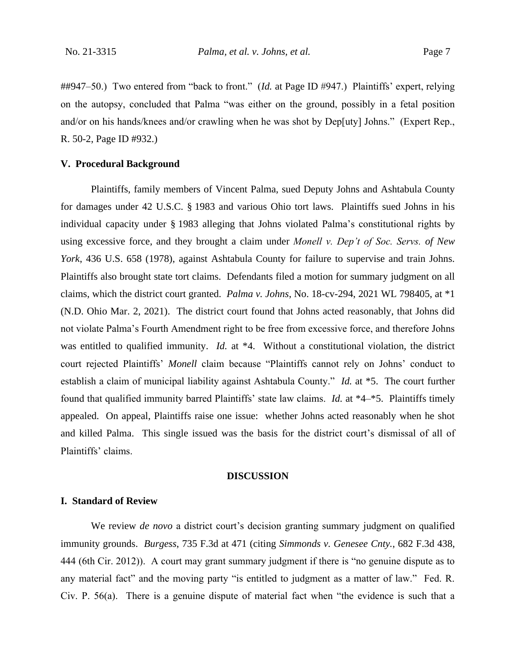##947–50.) Two entered from "back to front." (*Id.* at Page ID #947.) Plaintiffs' expert, relying on the autopsy, concluded that Palma "was either on the ground, possibly in a fetal position and/or on his hands/knees and/or crawling when he was shot by Dep[uty] Johns." (Expert Rep., R. 50-2, Page ID #932.)

## **V. Procedural Background**

Plaintiffs, family members of Vincent Palma, sued Deputy Johns and Ashtabula County for damages under 42 U.S.C. § 1983 and various Ohio tort laws. Plaintiffs sued Johns in his individual capacity under § 1983 alleging that Johns violated Palma's constitutional rights by using excessive force, and they brought a claim under *Monell v. Dep't of Soc. Servs. of New York*, 436 U.S. 658 (1978), against Ashtabula County for failure to supervise and train Johns. Plaintiffs also brought state tort claims.Defendants filed a motion for summary judgment on all claims, which the district court granted. *Palma v. Johns*, No. 18-cv-294, 2021 WL 798405, at \*1 (N.D. Ohio Mar. 2, 2021). The district court found that Johns acted reasonably, that Johns did not violate Palma's Fourth Amendment right to be free from excessive force, and therefore Johns was entitled to qualified immunity. *Id.* at \*4. Without a constitutional violation, the district court rejected Plaintiffs' *Monell* claim because "Plaintiffs cannot rely on Johns' conduct to establish a claim of municipal liability against Ashtabula County." *Id.* at \*5. The court further found that qualified immunity barred Plaintiffs' state law claims. *Id.* at \*4–\*5. Plaintiffs timely appealed. On appeal, Plaintiffs raise one issue: whether Johns acted reasonably when he shot and killed Palma. This single issued was the basis for the district court's dismissal of all of Plaintiffs' claims.

#### **DISCUSSION**

## **I. Standard of Review**

We review *de novo* a district court's decision granting summary judgment on qualified immunity grounds. *Burgess*, 735 F.3d at 471 (citing *Simmonds v. Genesee Cnty.*, 682 F.3d 438, 444 (6th Cir. 2012)). A court may grant summary judgment if there is "no genuine dispute as to any material fact" and the moving party "is entitled to judgment as a matter of law." Fed. R. Civ. P. 56(a). There is a genuine dispute of material fact when "the evidence is such that a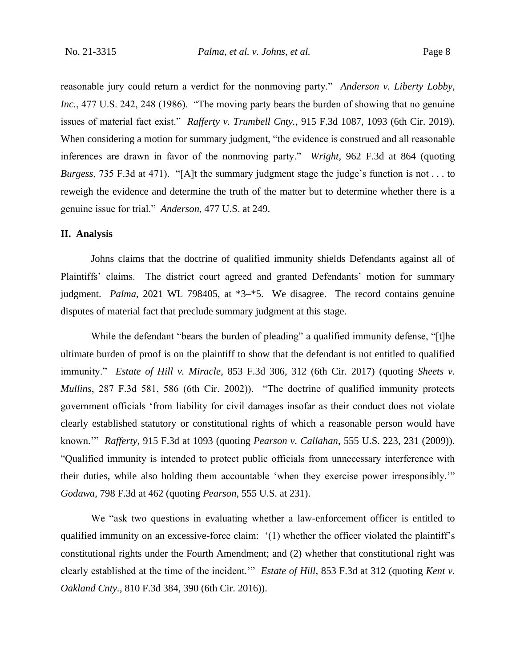reasonable jury could return a verdict for the nonmoving party." *Anderson v. Liberty Lobby, Inc.*, 477 U.S. 242, 248 (1986). "The moving party bears the burden of showing that no genuine issues of material fact exist." *Rafferty v. Trumbell Cnty.*, 915 F.3d 1087, 1093 (6th Cir. 2019). When considering a motion for summary judgment, "the evidence is construed and all reasonable inferences are drawn in favor of the nonmoving party." *Wright*, 962 F.3d at 864 (quoting *Burgess*, 735 F.3d at 471). "[A]t the summary judgment stage the judge's function is not . . . to reweigh the evidence and determine the truth of the matter but to determine whether there is a genuine issue for trial." *Anderson*, 477 U.S. at 249.

## **II. Analysis**

Johns claims that the doctrine of qualified immunity shields Defendants against all of Plaintiffs' claims. The district court agreed and granted Defendants' motion for summary judgment. *Palma*, 2021 WL 798405, at \*3–\*5. We disagree. The record contains genuine disputes of material fact that preclude summary judgment at this stage.

While the defendant "bears the burden of pleading" a qualified immunity defense, "[t]he ultimate burden of proof is on the plaintiff to show that the defendant is not entitled to qualified immunity." *Estate of Hill v. Miracle*, 853 F.3d 306, 312 (6th Cir. 2017) (quoting *Sheets v. Mullins*, 287 F.3d 581, 586 (6th Cir. 2002)). "The doctrine of qualified immunity protects government officials 'from liability for civil damages insofar as their conduct does not violate clearly established statutory or constitutional rights of which a reasonable person would have known.'" *Rafferty*, 915 F.3d at 1093 (quoting *Pearson v. Callahan*, 555 U.S. 223, 231 (2009)). "Qualified immunity is intended to protect public officials from unnecessary interference with their duties, while also holding them accountable 'when they exercise power irresponsibly.'" *Godawa*, 798 F.3d at 462 (quoting *Pearson*, 555 U.S. at 231).

We "ask two questions in evaluating whether a law-enforcement officer is entitled to qualified immunity on an excessive-force claim: '(1) whether the officer violated the plaintiff's constitutional rights under the Fourth Amendment; and (2) whether that constitutional right was clearly established at the time of the incident.'" *Estate of Hill*, 853 F.3d at 312 (quoting *Kent v. Oakland Cnty.*, 810 F.3d 384, 390 (6th Cir. 2016)).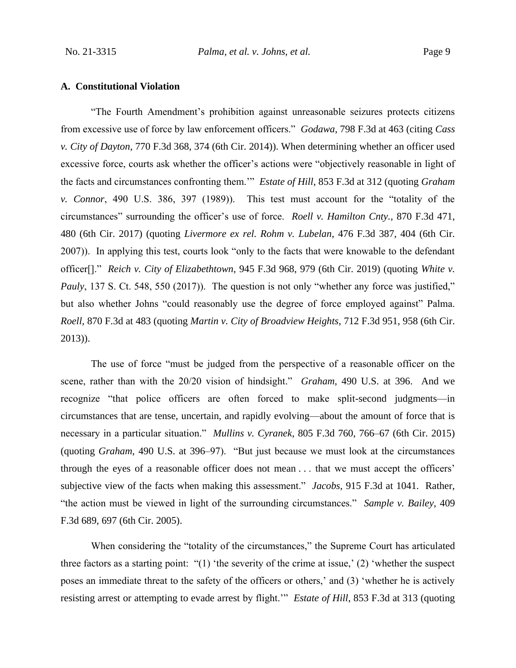## **A. Constitutional Violation**

"The Fourth Amendment's prohibition against unreasonable seizures protects citizens from excessive use of force by law enforcement officers." *Godawa*, 798 F.3d at 463 (citing *Cass v. City of Dayton*, 770 F.3d 368, 374 (6th Cir. 2014)). When determining whether an officer used excessive force, courts ask whether the officer's actions were "objectively reasonable in light of the facts and circumstances confronting them.'" *Estate of Hill*, 853 F.3d at 312 (quoting *Graham v. Connor*, 490 U.S. 386, 397 (1989)). This test must account for the "totality of the circumstances" surrounding the officer's use of force. *Roell v. Hamilton Cnty.*, 870 F.3d 471, 480 (6th Cir. 2017) (quoting *Livermore ex rel. Rohm v. Lubelan*, 476 F.3d 387, 404 (6th Cir. 2007)). In applying this test, courts look "only to the facts that were knowable to the defendant officer[]." *Reich v. City of Elizabethtown*, 945 F.3d 968, 979 (6th Cir. 2019) (quoting *White v. Pauly*, 137 S. Ct. 548, 550 (2017)). The question is not only "whether any force was justified," but also whether Johns "could reasonably use the degree of force employed against" Palma. *Roell*, 870 F.3d at 483 (quoting *Martin v. City of Broadview Heights*, 712 F.3d 951, 958 (6th Cir. 2013)).

The use of force "must be judged from the perspective of a reasonable officer on the scene, rather than with the 20/20 vision of hindsight." *Graham*, 490 U.S. at 396. And we recognize "that police officers are often forced to make split-second judgments—in circumstances that are tense, uncertain, and rapidly evolving—about the amount of force that is necessary in a particular situation." *Mullins v. Cyranek*, 805 F.3d 760, 766–67 (6th Cir. 2015) (quoting *Graham*, 490 U.S. at 396–97). "But just because we must look at the circumstances through the eyes of a reasonable officer does not mean . . . that we must accept the officers' subjective view of the facts when making this assessment." *Jacobs*, 915 F.3d at 1041. Rather, "the action must be viewed in light of the surrounding circumstances." *Sample v. Bailey*, 409 F.3d 689, 697 (6th Cir. 2005).

When considering the "totality of the circumstances," the Supreme Court has articulated three factors as a starting point: "(1) 'the severity of the crime at issue,' (2) 'whether the suspect poses an immediate threat to the safety of the officers or others,' and (3) 'whether he is actively resisting arrest or attempting to evade arrest by flight.'" *Estate of Hill*, 853 F.3d at 313 (quoting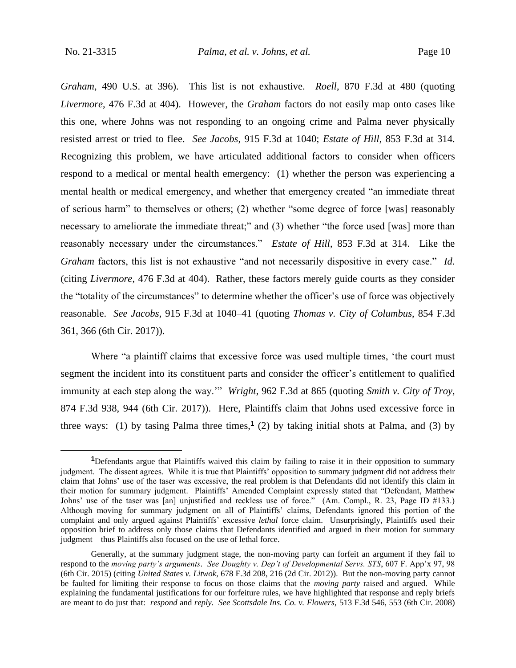*Graham*, 490 U.S. at 396). This list is not exhaustive. *Roell*, 870 F.3d at 480 (quoting *Livermore*, 476 F.3d at 404). However, the *Graham* factors do not easily map onto cases like this one, where Johns was not responding to an ongoing crime and Palma never physically resisted arrest or tried to flee. *See Jacobs*, 915 F.3d at 1040; *Estate of Hill*, 853 F.3d at 314. Recognizing this problem, we have articulated additional factors to consider when officers respond to a medical or mental health emergency: (1) whether the person was experiencing a mental health or medical emergency, and whether that emergency created "an immediate threat of serious harm" to themselves or others; (2) whether "some degree of force [was] reasonably necessary to ameliorate the immediate threat;" and (3) whether "the force used [was] more than reasonably necessary under the circumstances." *Estate of Hill*, 853 F.3d at 314. Like the *Graham* factors, this list is not exhaustive "and not necessarily dispositive in every case." *Id.* (citing *Livermore*, 476 F.3d at 404). Rather, these factors merely guide courts as they consider the "totality of the circumstances" to determine whether the officer's use of force was objectively reasonable. *See Jacobs*, 915 F.3d at 1040–41 (quoting *Thomas v. City of Columbus*, 854 F.3d 361, 366 (6th Cir. 2017)).

Where "a plaintiff claims that excessive force was used multiple times, 'the court must segment the incident into its constituent parts and consider the officer's entitlement to qualified immunity at each step along the way.'" *Wright*, 962 F.3d at 865 (quoting *Smith v. City of Troy*, 874 F.3d 938, 944 (6th Cir. 2017)). Here, Plaintiffs claim that Johns used excessive force in three ways: (1) by tasing Palma three times,**<sup>1</sup>** (2) by taking initial shots at Palma, and (3) by

**<sup>1</sup>**Defendants argue that Plaintiffs waived this claim by failing to raise it in their opposition to summary judgment. The dissent agrees. While it is true that Plaintiffs' opposition to summary judgment did not address their claim that Johns' use of the taser was excessive, the real problem is that Defendants did not identify this claim in their motion for summary judgment. Plaintiffs' Amended Complaint expressly stated that "Defendant, Matthew Johns' use of the taser was [an] unjustified and reckless use of force." (Am. Compl., R. 23, Page ID #133.) Although moving for summary judgment on all of Plaintiffs' claims, Defendants ignored this portion of the complaint and only argued against Plaintiffs' excessive *lethal* force claim. Unsurprisingly, Plaintiffs used their opposition brief to address only those claims that Defendants identified and argued in their motion for summary judgment—thus Plaintiffs also focused on the use of lethal force.

Generally, at the summary judgment stage, the non-moving party can forfeit an argument if they fail to respond to the *moving party's arguments*. *See Doughty v. Dep't of Developmental Servs. STS*, 607 F. App'x 97, 98 (6th Cir. 2015) (citing *United States v. Litwok*, 678 F.3d 208, 216 (2d Cir. 2012)). But the non-moving party cannot be faulted for limiting their response to focus on those claims that the *moving party* raised and argued. While explaining the fundamental justifications for our forfeiture rules, we have highlighted that response and reply briefs are meant to do just that: *respond* and *reply*. *See Scottsdale Ins. Co. v. Flowers*, 513 F.3d 546, 553 (6th Cir. 2008)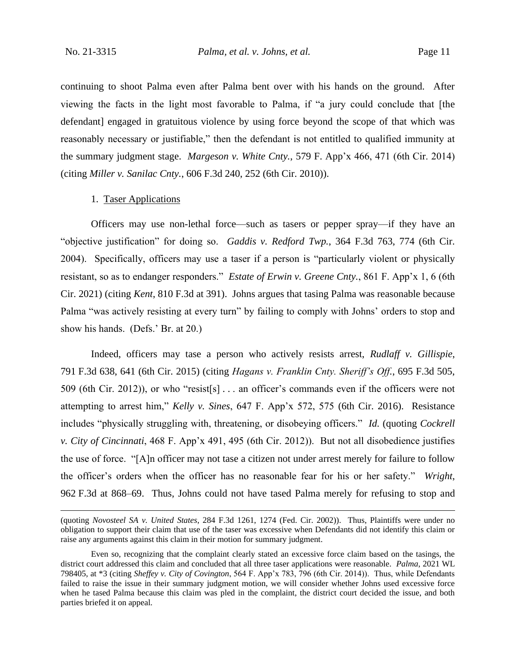continuing to shoot Palma even after Palma bent over with his hands on the ground. After viewing the facts in the light most favorable to Palma, if "a jury could conclude that [the defendant] engaged in gratuitous violence by using force beyond the scope of that which was reasonably necessary or justifiable," then the defendant is not entitled to qualified immunity at the summary judgment stage. *Margeson v. White Cnty.*, 579 F. App'x 466, 471 (6th Cir. 2014) (citing *Miller v. Sanilac Cnty.*, 606 F.3d 240, 252 (6th Cir. 2010)).

## 1. Taser Applications

Officers may use non-lethal force—such as tasers or pepper spray—if they have an "objective justification" for doing so. *Gaddis v. Redford Twp.*, 364 F.3d 763, 774 (6th Cir. 2004). Specifically, officers may use a taser if a person is "particularly violent or physically resistant, so as to endanger responders." *Estate of Erwin v. Greene Cnty.*, 861 F. App'x 1, 6 (6th Cir. 2021) (citing *Kent*, 810 F.3d at 391). Johns argues that tasing Palma was reasonable because Palma "was actively resisting at every turn" by failing to comply with Johns' orders to stop and show his hands. (Defs.' Br. at 20.)

Indeed, officers may tase a person who actively resists arrest, *Rudlaff v. Gillispie*, 791 F.3d 638, 641 (6th Cir. 2015) (citing *Hagans v. Franklin Cnty. Sheriff's Off.*, 695 F.3d 505, 509 (6th Cir. 2012)), or who "resist[s] . . . an officer's commands even if the officers were not attempting to arrest him," *Kelly v. Sines*, 647 F. App'x 572, 575 (6th Cir. 2016). Resistance includes "physically struggling with, threatening, or disobeying officers." *Id.* (quoting *Cockrell v. City of Cincinnati*, 468 F. App'x 491, 495 (6th Cir. 2012)). But not all disobedience justifies the use of force. "[A]n officer may not tase a citizen not under arrest merely for failure to follow the officer's orders when the officer has no reasonable fear for his or her safety." *Wright*, 962 F.3d at 868–69. Thus, Johns could not have tased Palma merely for refusing to stop and

<sup>(</sup>quoting *Novosteel SA v. United States*, 284 F.3d 1261, 1274 (Fed. Cir. 2002)). Thus, Plaintiffs were under no obligation to support their claim that use of the taser was excessive when Defendants did not identify this claim or raise any arguments against this claim in their motion for summary judgment.

Even so, recognizing that the complaint clearly stated an excessive force claim based on the tasings, the district court addressed this claim and concluded that all three taser applications were reasonable. *Palma*, 2021 WL 798405, at \*3 (citing *Sheffey v. City of Covington*, 564 F. App'x 783, 796 (6th Cir. 2014)). Thus, while Defendants failed to raise the issue in their summary judgment motion, we will consider whether Johns used excessive force when he tased Palma because this claim was pled in the complaint, the district court decided the issue, and both parties briefed it on appeal.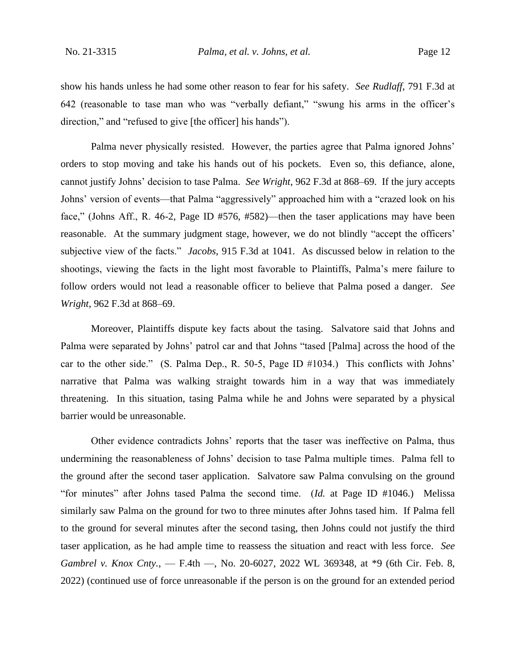show his hands unless he had some other reason to fear for his safety. *See Rudlaff*, 791 F.3d at 642 (reasonable to tase man who was "verbally defiant," "swung his arms in the officer's direction," and "refused to give [the officer] his hands").

Palma never physically resisted. However, the parties agree that Palma ignored Johns' orders to stop moving and take his hands out of his pockets. Even so, this defiance, alone, cannot justify Johns' decision to tase Palma. *See Wright*, 962 F.3d at 868–69. If the jury accepts Johns' version of events—that Palma "aggressively" approached him with a "crazed look on his face," (Johns Aff., R. 46-2, Page ID #576, #582)—then the taser applications may have been reasonable. At the summary judgment stage, however, we do not blindly "accept the officers' subjective view of the facts." *Jacobs*, 915 F.3d at 1041. As discussed below in relation to the shootings, viewing the facts in the light most favorable to Plaintiffs, Palma's mere failure to follow orders would not lead a reasonable officer to believe that Palma posed a danger. *See Wright*, 962 F.3d at 868–69.

Moreover, Plaintiffs dispute key facts about the tasing. Salvatore said that Johns and Palma were separated by Johns' patrol car and that Johns "tased [Palma] across the hood of the car to the other side." (S. Palma Dep., R. 50-5, Page ID #1034.) This conflicts with Johns' narrative that Palma was walking straight towards him in a way that was immediately threatening. In this situation, tasing Palma while he and Johns were separated by a physical barrier would be unreasonable.

Other evidence contradicts Johns' reports that the taser was ineffective on Palma, thus undermining the reasonableness of Johns' decision to tase Palma multiple times. Palma fell to the ground after the second taser application. Salvatore saw Palma convulsing on the ground "for minutes" after Johns tased Palma the second time. (*Id.* at Page ID #1046.) Melissa similarly saw Palma on the ground for two to three minutes after Johns tased him. If Palma fell to the ground for several minutes after the second tasing, then Johns could not justify the third taser application, as he had ample time to reassess the situation and react with less force. *See Gambrel v. Knox Cnty.*, — F.4th —, No. 20-6027, 2022 WL 369348, at \*9 (6th Cir. Feb. 8, 2022) (continued use of force unreasonable if the person is on the ground for an extended period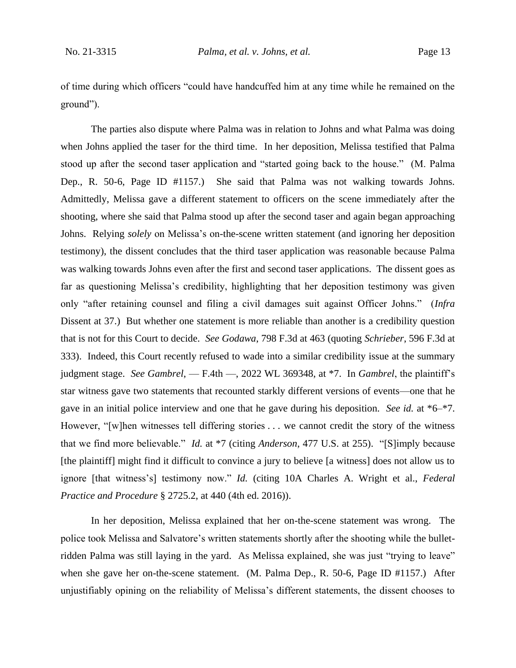of time during which officers "could have handcuffed him at any time while he remained on the ground").

The parties also dispute where Palma was in relation to Johns and what Palma was doing when Johns applied the taser for the third time. In her deposition, Melissa testified that Palma stood up after the second taser application and "started going back to the house." (M. Palma Dep., R. 50-6, Page ID #1157.) She said that Palma was not walking towards Johns. Admittedly, Melissa gave a different statement to officers on the scene immediately after the shooting, where she said that Palma stood up after the second taser and again began approaching Johns. Relying *solely* on Melissa's on-the-scene written statement (and ignoring her deposition testimony), the dissent concludes that the third taser application was reasonable because Palma was walking towards Johns even after the first and second taser applications. The dissent goes as far as questioning Melissa's credibility, highlighting that her deposition testimony was given only "after retaining counsel and filing a civil damages suit against Officer Johns." (*Infra*  Dissent at 37.) But whether one statement is more reliable than another is a credibility question that is not for this Court to decide. *See Godawa*, 798 F.3d at 463 (quoting *Schrieber*, 596 F.3d at 333). Indeed, this Court recently refused to wade into a similar credibility issue at the summary judgment stage. *See Gambrel*, — F.4th —, 2022 WL 369348, at \*7. In *Gambrel*, the plaintiff's star witness gave two statements that recounted starkly different versions of events—one that he gave in an initial police interview and one that he gave during his deposition. *See id.* at \*6–\*7. However, "[w]hen witnesses tell differing stories . . . we cannot credit the story of the witness that we find more believable." *Id.* at \*7 (citing *Anderson*, 477 U.S. at 255). "[S]imply because [the plaintiff] might find it difficult to convince a jury to believe [a witness] does not allow us to ignore [that witness's] testimony now." *Id.* (citing 10A Charles A. Wright et al., *Federal Practice and Procedure* § 2725.2, at 440 (4th ed. 2016)).

In her deposition, Melissa explained that her on-the-scene statement was wrong. The police took Melissa and Salvatore's written statements shortly after the shooting while the bulletridden Palma was still laying in the yard. As Melissa explained, she was just "trying to leave" when she gave her on-the-scene statement. (M. Palma Dep., R. 50-6, Page ID #1157.) After unjustifiably opining on the reliability of Melissa's different statements, the dissent chooses to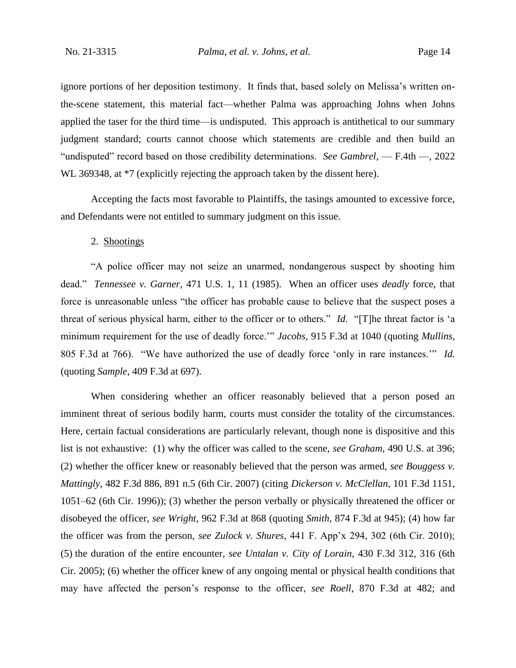ignore portions of her deposition testimony. It finds that, based solely on Melissa's written onthe-scene statement, this material fact—whether Palma was approaching Johns when Johns applied the taser for the third time—is undisputed. This approach is antithetical to our summary judgment standard; courts cannot choose which statements are credible and then build an "undisputed" record based on those credibility determinations. *See Gambrel*, — F.4th —, 2022 WL 369348, at  $*7$  (explicitly rejecting the approach taken by the dissent here).

Accepting the facts most favorable to Plaintiffs, the tasings amounted to excessive force, and Defendants were not entitled to summary judgment on this issue.

## 2. Shootings

"A police officer may not seize an unarmed, nondangerous suspect by shooting him dead." *Tennessee v. Garner*, 471 U.S. 1, 11 (1985). When an officer uses *deadly* force, that force is unreasonable unless "the officer has probable cause to believe that the suspect poses a threat of serious physical harm, either to the officer or to others." *Id.* "[T]he threat factor is 'a minimum requirement for the use of deadly force.'" *Jacobs*, 915 F.3d at 1040 (quoting *Mullins*, 805 F.3d at 766). "We have authorized the use of deadly force 'only in rare instances.'" *Id.* (quoting *Sample*, 409 F.3d at 697).

When considering whether an officer reasonably believed that a person posed an imminent threat of serious bodily harm, courts must consider the totality of the circumstances. Here, certain factual considerations are particularly relevant, though none is dispositive and this list is not exhaustive: (1) why the officer was called to the scene, *see Graham*, 490 U.S. at 396; (2) whether the officer knew or reasonably believed that the person was armed, *see Bouggess v. Mattingly*, 482 F.3d 886, 891 n.5 (6th Cir. 2007) (citing *Dickerson v. McClellan*, 101 F.3d 1151, 1051–62 (6th Cir. 1996)); (3) whether the person verbally or physically threatened the officer or disobeyed the officer, *see Wright*, 962 F.3d at 868 (quoting *Smith*, 874 F.3d at 945); (4) how far the officer was from the person, *see Zulock v. Shures*, 441 F. App'x 294, 302 (6th Cir. 2010); (5) the duration of the entire encounter, *see Untalan v. City of Lorain*, 430 F.3d 312, 316 (6th Cir. 2005); (6) whether the officer knew of any ongoing mental or physical health conditions that may have affected the person's response to the officer, *see Roell*, 870 F.3d at 482; and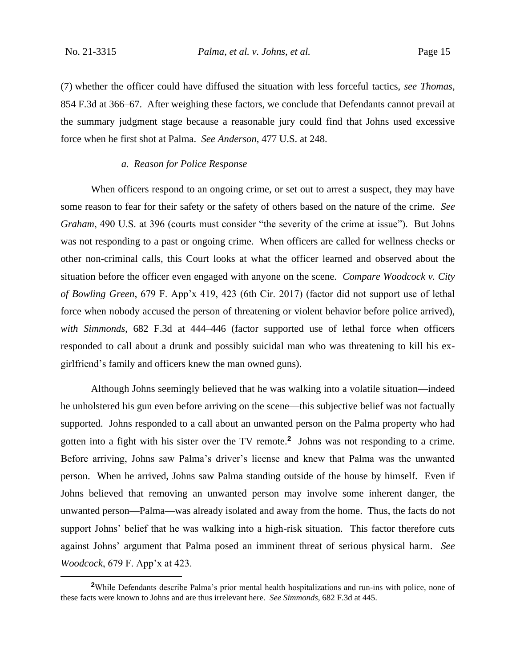(7) whether the officer could have diffused the situation with less forceful tactics, *see Thomas*, 854 F.3d at 366–67. After weighing these factors, we conclude that Defendants cannot prevail at the summary judgment stage because a reasonable jury could find that Johns used excessive force when he first shot at Palma. *See Anderson*, 477 U.S. at 248.

## *a. Reason for Police Response*

When officers respond to an ongoing crime, or set out to arrest a suspect, they may have some reason to fear for their safety or the safety of others based on the nature of the crime. *See Graham*, 490 U.S. at 396 (courts must consider "the severity of the crime at issue"). But Johns was not responding to a past or ongoing crime. When officers are called for wellness checks or other non-criminal calls, this Court looks at what the officer learned and observed about the situation before the officer even engaged with anyone on the scene. *Compare Woodcock v. City of Bowling Green*, 679 F. App'x 419, 423 (6th Cir. 2017) (factor did not support use of lethal force when nobody accused the person of threatening or violent behavior before police arrived), *with Simmonds*, 682 F.3d at 444–446 (factor supported use of lethal force when officers responded to call about a drunk and possibly suicidal man who was threatening to kill his exgirlfriend's family and officers knew the man owned guns).

Although Johns seemingly believed that he was walking into a volatile situation—indeed he unholstered his gun even before arriving on the scene—this subjective belief was not factually supported. Johns responded to a call about an unwanted person on the Palma property who had gotten into a fight with his sister over the TV remote.**<sup>2</sup>** Johns was not responding to a crime. Before arriving, Johns saw Palma's driver's license and knew that Palma was the unwanted person. When he arrived, Johns saw Palma standing outside of the house by himself. Even if Johns believed that removing an unwanted person may involve some inherent danger, the unwanted person—Palma—was already isolated and away from the home. Thus, the facts do not support Johns' belief that he was walking into a high-risk situation. This factor therefore cuts against Johns' argument that Palma posed an imminent threat of serious physical harm. *See Woodcock*, 679 F. App'x at 423.

**<sup>2</sup>**While Defendants describe Palma's prior mental health hospitalizations and run-ins with police, none of these facts were known to Johns and are thus irrelevant here. *See Simmonds*, 682 F.3d at 445.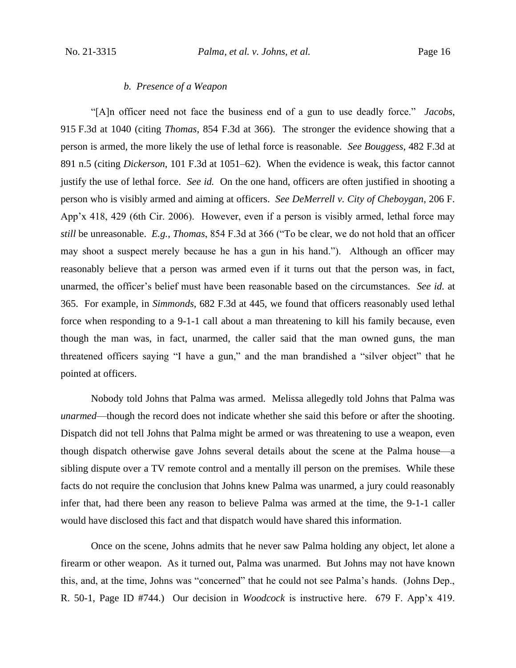## *b. Presence of a Weapon*

"[A]n officer need not face the business end of a gun to use deadly force." *Jacobs*, 915 F.3d at 1040 (citing *Thomas*, 854 F.3d at 366). The stronger the evidence showing that a person is armed, the more likely the use of lethal force is reasonable. *See Bouggess*, 482 F.3d at 891 n.5 (citing *Dickerson*, 101 F.3d at 1051–62). When the evidence is weak, this factor cannot justify the use of lethal force. *See id*. On the one hand, officers are often justified in shooting a person who is visibly armed and aiming at officers. *See DeMerrell v. City of Cheboygan*, 206 F. App'x 418, 429 (6th Cir. 2006). However, even if a person is visibly armed, lethal force may *still* be unreasonable. *E.g.*, *Thomas*, 854 F.3d at 366 ("To be clear, we do not hold that an officer may shoot a suspect merely because he has a gun in his hand."). Although an officer may reasonably believe that a person was armed even if it turns out that the person was, in fact, unarmed, the officer's belief must have been reasonable based on the circumstances. *See id.* at 365. For example, in *Simmonds*, 682 F.3d at 445, we found that officers reasonably used lethal force when responding to a 9-1-1 call about a man threatening to kill his family because, even though the man was, in fact, unarmed, the caller said that the man owned guns, the man threatened officers saying "I have a gun," and the man brandished a "silver object" that he pointed at officers.

Nobody told Johns that Palma was armed. Melissa allegedly told Johns that Palma was *unarmed*—though the record does not indicate whether she said this before or after the shooting. Dispatch did not tell Johns that Palma might be armed or was threatening to use a weapon, even though dispatch otherwise gave Johns several details about the scene at the Palma house—a sibling dispute over a TV remote control and a mentally ill person on the premises. While these facts do not require the conclusion that Johns knew Palma was unarmed, a jury could reasonably infer that, had there been any reason to believe Palma was armed at the time, the 9-1-1 caller would have disclosed this fact and that dispatch would have shared this information.

Once on the scene, Johns admits that he never saw Palma holding any object, let alone a firearm or other weapon. As it turned out, Palma was unarmed. But Johns may not have known this, and, at the time, Johns was "concerned" that he could not see Palma's hands. (Johns Dep., R. 50-1, Page ID #744.) Our decision in *Woodcock* is instructive here. 679 F. App'x 419.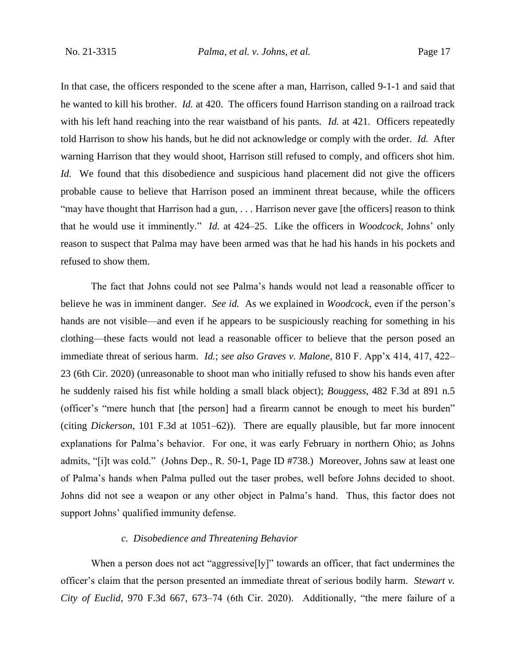In that case, the officers responded to the scene after a man, Harrison, called 9-1-1 and said that he wanted to kill his brother. *Id.* at 420. The officers found Harrison standing on a railroad track with his left hand reaching into the rear waistband of his pants. *Id.* at 421. Officers repeatedly told Harrison to show his hands, but he did not acknowledge or comply with the order. *Id.* After warning Harrison that they would shoot, Harrison still refused to comply, and officers shot him. *Id.* We found that this disobedience and suspicious hand placement did not give the officers probable cause to believe that Harrison posed an imminent threat because, while the officers "may have thought that Harrison had a gun, ... Harrison never gave [the officers] reason to think that he would use it imminently." *Id.* at 424–25. Like the officers in *Woodcock*, Johns' only reason to suspect that Palma may have been armed was that he had his hands in his pockets and refused to show them.

The fact that Johns could not see Palma's hands would not lead a reasonable officer to believe he was in imminent danger. *See id.* As we explained in *Woodcock*, even if the person's hands are not visible—and even if he appears to be suspiciously reaching for something in his clothing—these facts would not lead a reasonable officer to believe that the person posed an immediate threat of serious harm. *Id.*; *see also Graves v. Malone*, 810 F. App'x 414, 417, 422– 23 (6th Cir. 2020) (unreasonable to shoot man who initially refused to show his hands even after he suddenly raised his fist while holding a small black object); *Bouggess*, 482 F.3d at 891 n.5 (officer's "mere hunch that [the person] had a firearm cannot be enough to meet his burden" (citing *Dickerson*, 101 F.3d at 1051–62)). There are equally plausible, but far more innocent explanations for Palma's behavior. For one, it was early February in northern Ohio; as Johns admits, "[i]t was cold." (Johns Dep., R. 50-1, Page ID #738.) Moreover, Johns saw at least one of Palma's hands when Palma pulled out the taser probes, well before Johns decided to shoot. Johns did not see a weapon or any other object in Palma's hand. Thus, this factor does not support Johns' qualified immunity defense.

## *c. Disobedience and Threatening Behavior*

When a person does not act "aggressive[ly]" towards an officer, that fact undermines the officer's claim that the person presented an immediate threat of serious bodily harm. *Stewart v. City of Euclid*, 970 F.3d 667, 673–74 (6th Cir. 2020). Additionally, "the mere failure of a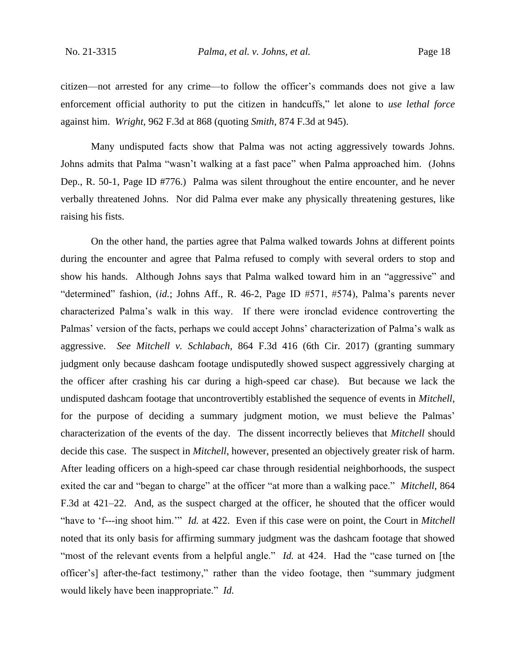citizen—not arrested for any crime—to follow the officer's commands does not give a law enforcement official authority to put the citizen in handcuffs," let alone to *use lethal force* against him. *Wright*, 962 F.3d at 868 (quoting *Smith*, 874 F.3d at 945).

Many undisputed facts show that Palma was not acting aggressively towards Johns. Johns admits that Palma "wasn't walking at a fast pace" when Palma approached him. (Johns Dep., R. 50-1, Page ID #776.) Palma was silent throughout the entire encounter, and he never verbally threatened Johns. Nor did Palma ever make any physically threatening gestures, like raising his fists.

On the other hand, the parties agree that Palma walked towards Johns at different points during the encounter and agree that Palma refused to comply with several orders to stop and show his hands. Although Johns says that Palma walked toward him in an "aggressive" and "determined" fashion, (*id.*; Johns Aff., R. 46-2, Page ID #571, #574), Palma's parents never characterized Palma's walk in this way. If there were ironclad evidence controverting the Palmas' version of the facts, perhaps we could accept Johns' characterization of Palma's walk as aggressive. *See Mitchell v. Schlabach*, 864 F.3d 416 (6th Cir. 2017) (granting summary judgment only because dashcam footage undisputedly showed suspect aggressively charging at the officer after crashing his car during a high-speed car chase). But because we lack the undisputed dashcam footage that uncontrovertibly established the sequence of events in *Mitchell*, for the purpose of deciding a summary judgment motion, we must believe the Palmas' characterization of the events of the day. The dissent incorrectly believes that *Mitchell* should decide this case. The suspect in *Mitchell*, however, presented an objectively greater risk of harm. After leading officers on a high-speed car chase through residential neighborhoods, the suspect exited the car and "began to charge" at the officer "at more than a walking pace." *Mitchell*, 864 F.3d at 421–22. And, as the suspect charged at the officer, he shouted that the officer would "have to 'f---ing shoot him.'" *Id.* at 422. Even if this case were on point, the Court in *Mitchell* noted that its only basis for affirming summary judgment was the dashcam footage that showed "most of the relevant events from a helpful angle." *Id.* at 424. Had the "case turned on [the officer's] after-the-fact testimony," rather than the video footage, then "summary judgment would likely have been inappropriate." *Id.*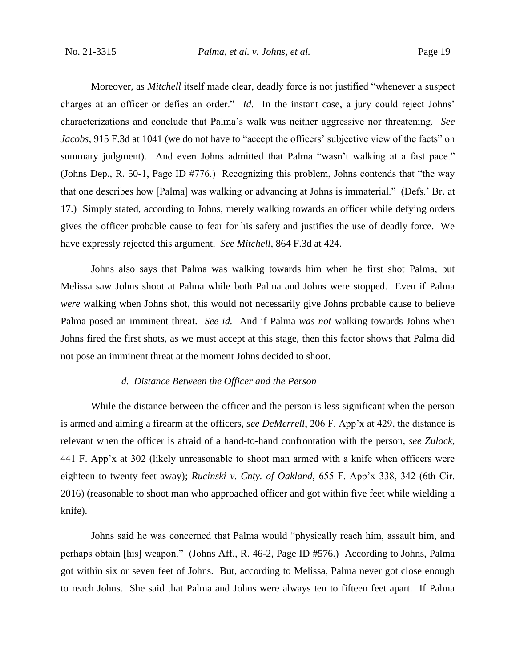Moreover, as *Mitchell* itself made clear, deadly force is not justified "whenever a suspect charges at an officer or defies an order." *Id.* In the instant case, a jury could reject Johns' characterizations and conclude that Palma's walk was neither aggressive nor threatening. *See Jacobs*, 915 F.3d at 1041 (we do not have to "accept the officers' subjective view of the facts" on summary judgment). And even Johns admitted that Palma "wasn't walking at a fast pace." (Johns Dep., R. 50-1, Page ID #776.) Recognizing this problem, Johns contends that "the way that one describes how [Palma] was walking or advancing at Johns is immaterial." (Defs.' Br. at 17.) Simply stated, according to Johns, merely walking towards an officer while defying orders gives the officer probable cause to fear for his safety and justifies the use of deadly force. We have expressly rejected this argument. *See Mitchell*, 864 F.3d at 424.

Johns also says that Palma was walking towards him when he first shot Palma, but Melissa saw Johns shoot at Palma while both Palma and Johns were stopped. Even if Palma *were* walking when Johns shot, this would not necessarily give Johns probable cause to believe Palma posed an imminent threat. *See id.* And if Palma *was not* walking towards Johns when Johns fired the first shots, as we must accept at this stage, then this factor shows that Palma did not pose an imminent threat at the moment Johns decided to shoot.

## *d. Distance Between the Officer and the Person*

While the distance between the officer and the person is less significant when the person is armed and aiming a firearm at the officers, *see DeMerrell*, 206 F. App'x at 429, the distance is relevant when the officer is afraid of a hand-to-hand confrontation with the person, *see Zulock*, 441 F. App'x at 302 (likely unreasonable to shoot man armed with a knife when officers were eighteen to twenty feet away); *Rucinski v. Cnty. of Oakland*, 655 F. App'x 338, 342 (6th Cir. 2016) (reasonable to shoot man who approached officer and got within five feet while wielding a knife).

Johns said he was concerned that Palma would "physically reach him, assault him, and perhaps obtain [his] weapon." (Johns Aff., R. 46-2, Page ID #576.) According to Johns, Palma got within six or seven feet of Johns. But, according to Melissa, Palma never got close enough to reach Johns. She said that Palma and Johns were always ten to fifteen feet apart. If Palma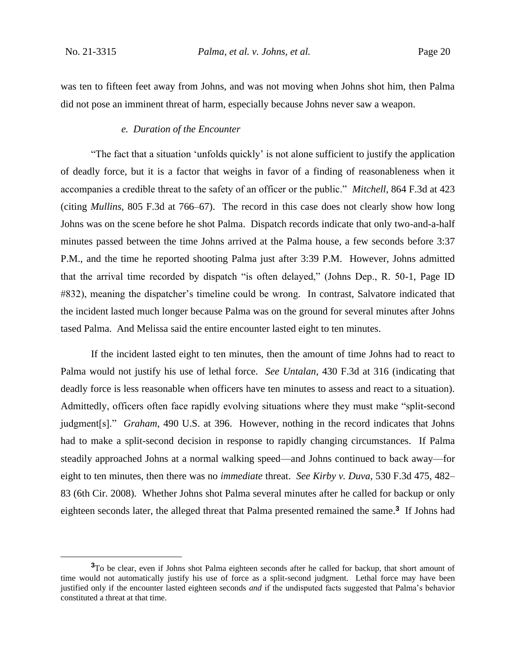was ten to fifteen feet away from Johns, and was not moving when Johns shot him, then Palma did not pose an imminent threat of harm, especially because Johns never saw a weapon.

#### *e. Duration of the Encounter*

"The fact that a situation 'unfolds quickly' is not alone sufficient to justify the application of deadly force, but it is a factor that weighs in favor of a finding of reasonableness when it accompanies a credible threat to the safety of an officer or the public." *Mitchell*, 864 F.3d at 423 (citing *Mullins*, 805 F.3d at 766–67). The record in this case does not clearly show how long Johns was on the scene before he shot Palma. Dispatch records indicate that only two-and-a-half minutes passed between the time Johns arrived at the Palma house, a few seconds before 3:37 P.M., and the time he reported shooting Palma just after 3:39 P.M. However, Johns admitted that the arrival time recorded by dispatch "is often delayed," (Johns Dep., R. 50-1, Page ID #832), meaning the dispatcher's timeline could be wrong. In contrast, Salvatore indicated that the incident lasted much longer because Palma was on the ground for several minutes after Johns tased Palma. And Melissa said the entire encounter lasted eight to ten minutes.

If the incident lasted eight to ten minutes, then the amount of time Johns had to react to Palma would not justify his use of lethal force. *See Untalan*, 430 F.3d at 316 (indicating that deadly force is less reasonable when officers have ten minutes to assess and react to a situation). Admittedly, officers often face rapidly evolving situations where they must make "split-second judgment[s]." *Graham*, 490 U.S. at 396. However, nothing in the record indicates that Johns had to make a split-second decision in response to rapidly changing circumstances. If Palma steadily approached Johns at a normal walking speed—and Johns continued to back away—for eight to ten minutes, then there was no *immediate* threat. *See Kirby v. Duva*, 530 F.3d 475, 482– 83 (6th Cir. 2008). Whether Johns shot Palma several minutes after he called for backup or only eighteen seconds later, the alleged threat that Palma presented remained the same.**<sup>3</sup>** If Johns had

<sup>&</sup>lt;sup>3</sup>To be clear, even if Johns shot Palma eighteen seconds after he called for backup, that short amount of time would not automatically justify his use of force as a split-second judgment. Lethal force may have been justified only if the encounter lasted eighteen seconds *and* if the undisputed facts suggested that Palma's behavior constituted a threat at that time.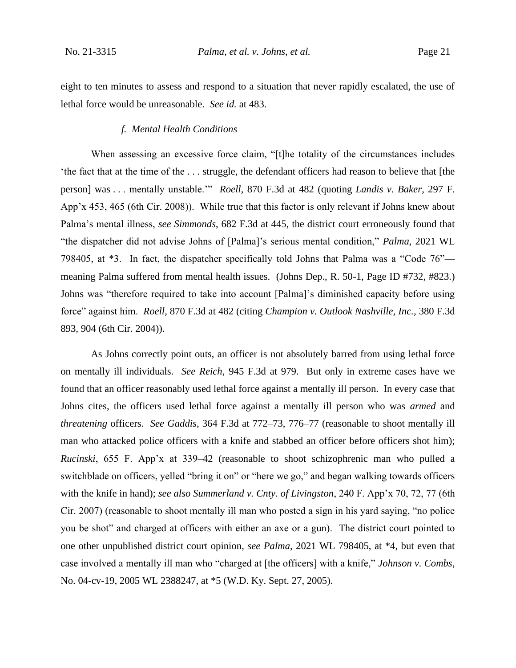eight to ten minutes to assess and respond to a situation that never rapidly escalated, the use of lethal force would be unreasonable. *See id.* at 483.

## *f. Mental Health Conditions*

When assessing an excessive force claim, "[t]he totality of the circumstances includes 'the fact that at the time of the . . . struggle, the defendant officers had reason to believe that [the person] was . . . mentally unstable.'" *Roell*, 870 F.3d at 482 (quoting *Landis v. Baker*, 297 F. App'x 453, 465 (6th Cir. 2008)). While true that this factor is only relevant if Johns knew about Palma's mental illness, *see Simmonds*, 682 F.3d at 445, the district court erroneously found that "the dispatcher did not advise Johns of [Palma]'s serious mental condition," *Palma*, 2021 WL 798405, at \*3. In fact, the dispatcher specifically told Johns that Palma was a "Code 76" meaning Palma suffered from mental health issues. (Johns Dep., R. 50-1, Page ID #732, #823.) Johns was "therefore required to take into account [Palma]'s diminished capacity before using force" against him. *Roell*, 870 F.3d at 482 (citing *Champion v. Outlook Nashville, Inc.*, 380 F.3d 893, 904 (6th Cir. 2004)).

As Johns correctly point outs, an officer is not absolutely barred from using lethal force on mentally ill individuals. *See Reich*, 945 F.3d at 979. But only in extreme cases have we found that an officer reasonably used lethal force against a mentally ill person. In every case that Johns cites, the officers used lethal force against a mentally ill person who was *armed* and *threatening* officers. *See Gaddis*, 364 F.3d at 772–73, 776–77 (reasonable to shoot mentally ill man who attacked police officers with a knife and stabbed an officer before officers shot him); *Rucinski*, 655 F. App'x at 339–42 (reasonable to shoot schizophrenic man who pulled a switchblade on officers, yelled "bring it on" or "here we go," and began walking towards officers with the knife in hand); *see also Summerland v. Cnty. of Livingston*, 240 F. App'x 70, 72, 77 (6th Cir. 2007) (reasonable to shoot mentally ill man who posted a sign in his yard saying, "no police you be shot" and charged at officers with either an axe or a gun). The district court pointed to one other unpublished district court opinion, *see Palma*, 2021 WL 798405, at \*4, but even that case involved a mentally ill man who "charged at [the officers] with a knife," *Johnson v. Combs*, No. 04-cv-19, 2005 WL 2388247, at \*5 (W.D. Ky. Sept. 27, 2005).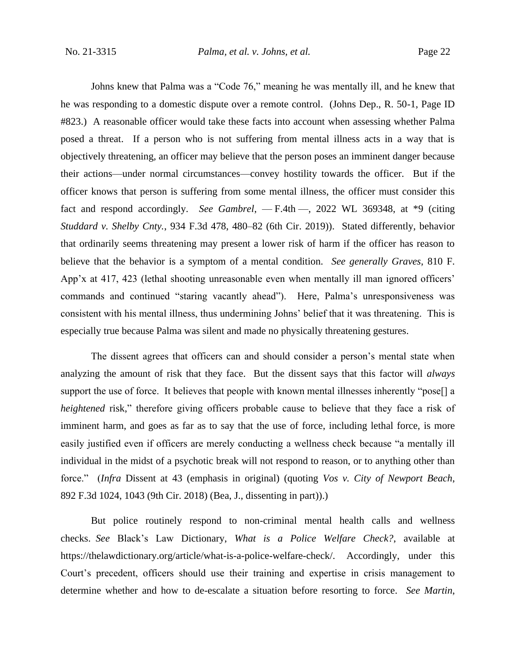Johns knew that Palma was a "Code 76," meaning he was mentally ill, and he knew that he was responding to a domestic dispute over a remote control. (Johns Dep., R. 50-1, Page ID #823.) A reasonable officer would take these facts into account when assessing whether Palma posed a threat. If a person who is not suffering from mental illness acts in a way that is objectively threatening, an officer may believe that the person poses an imminent danger because their actions—under normal circumstances—convey hostility towards the officer. But if the officer knows that person is suffering from some mental illness, the officer must consider this fact and respond accordingly. *See Gambrel*, — F.4th —, 2022 WL 369348, at \*9 (citing *Studdard v. Shelby Cnty.*, 934 F.3d 478, 480–82 (6th Cir. 2019)). Stated differently, behavior that ordinarily seems threatening may present a lower risk of harm if the officer has reason to believe that the behavior is a symptom of a mental condition. *See generally Graves*, 810 F. App'x at 417, 423 (lethal shooting unreasonable even when mentally ill man ignored officers' commands and continued "staring vacantly ahead"). Here, Palma's unresponsiveness was consistent with his mental illness, thus undermining Johns' belief that it was threatening. This is especially true because Palma was silent and made no physically threatening gestures.

The dissent agrees that officers can and should consider a person's mental state when analyzing the amount of risk that they face. But the dissent says that this factor will *always*  support the use of force. It believes that people with known mental illnesses inherently "pose<sup>[]</sup> a *heightened* risk," therefore giving officers probable cause to believe that they face a risk of imminent harm, and goes as far as to say that the use of force, including lethal force, is more easily justified even if officers are merely conducting a wellness check because "a mentally ill individual in the midst of a psychotic break will not respond to reason, or to anything other than force." (*Infra* Dissent at 43 (emphasis in original) (quoting *Vos v. City of Newport Beach*, 892 F.3d 1024, 1043 (9th Cir. 2018) (Bea, J., dissenting in part)).)

But police routinely respond to non-criminal mental health calls and wellness checks. *See* Black's Law Dictionary, *What is a Police Welfare Check?*, available at https://thelawdictionary.org/article/what-is-a-police-welfare-check/. Accordingly, under this Court's precedent, officers should use their training and expertise in crisis management to determine whether and how to de-escalate a situation before resorting to force. *See Martin*,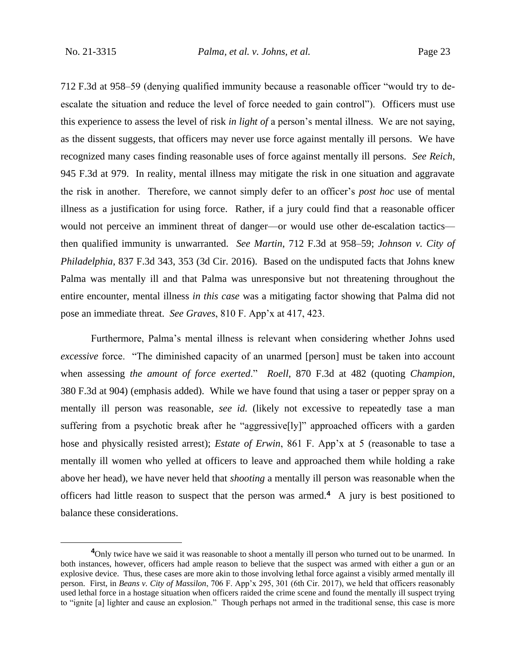712 F.3d at 958–59 (denying qualified immunity because a reasonable officer "would try to deescalate the situation and reduce the level of force needed to gain control"). Officers must use this experience to assess the level of risk *in light of* a person's mental illness. We are not saying, as the dissent suggests, that officers may never use force against mentally ill persons. We have recognized many cases finding reasonable uses of force against mentally ill persons. *See Reich*, 945 F.3d at 979. In reality, mental illness may mitigate the risk in one situation and aggravate the risk in another. Therefore, we cannot simply defer to an officer's *post hoc* use of mental illness as a justification for using force. Rather, if a jury could find that a reasonable officer would not perceive an imminent threat of danger—or would use other de-escalation tactics then qualified immunity is unwarranted. *See Martin*, 712 F.3d at 958–59; *Johnson v. City of Philadelphia*, 837 F.3d 343, 353 (3d Cir. 2016). Based on the undisputed facts that Johns knew Palma was mentally ill and that Palma was unresponsive but not threatening throughout the entire encounter, mental illness *in this case* was a mitigating factor showing that Palma did not pose an immediate threat. *See Graves*, 810 F. App'x at 417, 423.

Furthermore, Palma's mental illness is relevant when considering whether Johns used *excessive* force. "The diminished capacity of an unarmed [person] must be taken into account when assessing *the amount of force exerted*." *Roell*, 870 F.3d at 482 (quoting *Champion*, 380 F.3d at 904) (emphasis added). While we have found that using a taser or pepper spray on a mentally ill person was reasonable, *see id.* (likely not excessive to repeatedly tase a man suffering from a psychotic break after he "aggressive[ly]" approached officers with a garden hose and physically resisted arrest); *Estate of Erwin*, 861 F. App'x at 5 (reasonable to tase a mentally ill women who yelled at officers to leave and approached them while holding a rake above her head), we have never held that *shooting* a mentally ill person was reasonable when the officers had little reason to suspect that the person was armed.**<sup>4</sup>** A jury is best positioned to balance these considerations.

<sup>&</sup>lt;sup>4</sup>Only twice have we said it was reasonable to shoot a mentally ill person who turned out to be unarmed. In both instances, however, officers had ample reason to believe that the suspect was armed with either a gun or an explosive device. Thus, these cases are more akin to those involving lethal force against a visibly armed mentally ill person. First, in *Beans v. City of Massilon*, 706 F. App'x 295, 301 (6th Cir. 2017), we held that officers reasonably used lethal force in a hostage situation when officers raided the crime scene and found the mentally ill suspect trying to "ignite [a] lighter and cause an explosion." Though perhaps not armed in the traditional sense, this case is more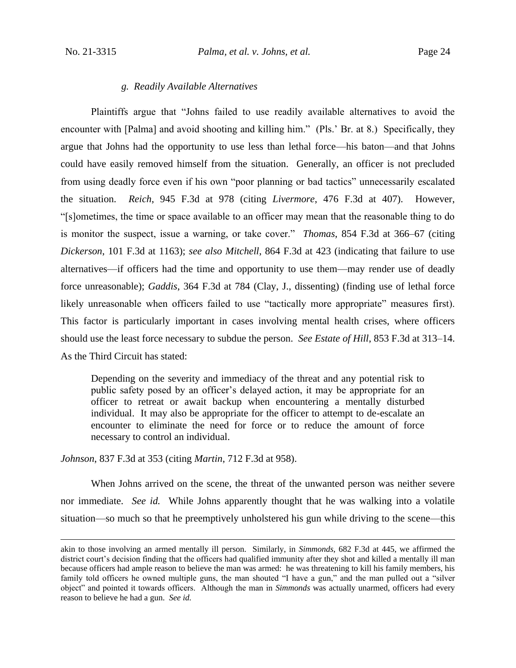#### *g. Readily Available Alternatives*

Plaintiffs argue that "Johns failed to use readily available alternatives to avoid the encounter with [Palma] and avoid shooting and killing him." (Pls.' Br. at 8.) Specifically, they argue that Johns had the opportunity to use less than lethal force—his baton—and that Johns could have easily removed himself from the situation. Generally, an officer is not precluded from using deadly force even if his own "poor planning or bad tactics" unnecessarily escalated the situation. *Reich*, 945 F.3d at 978 (citing *Livermore*, 476 F.3d at 407). However, "[s]ometimes, the time or space available to an officer may mean that the reasonable thing to do is monitor the suspect, issue a warning, or take cover." *Thomas*, 854 F.3d at 366–67 (citing *Dickerson*, 101 F.3d at 1163); *see also Mitchell*, 864 F.3d at 423 (indicating that failure to use alternatives—if officers had the time and opportunity to use them—may render use of deadly force unreasonable); *Gaddis*, 364 F.3d at 784 (Clay, J., dissenting) (finding use of lethal force likely unreasonable when officers failed to use "tactically more appropriate" measures first). This factor is particularly important in cases involving mental health crises, where officers should use the least force necessary to subdue the person. *See Estate of Hill*, 853 F.3d at 313–14. As the Third Circuit has stated:

Depending on the severity and immediacy of the threat and any potential risk to public safety posed by an officer's delayed action, it may be appropriate for an officer to retreat or await backup when encountering a mentally disturbed individual. It may also be appropriate for the officer to attempt to de-escalate an encounter to eliminate the need for force or to reduce the amount of force necessary to control an individual.

*Johnson*, 837 F.3d at 353 (citing *Martin*, 712 F.3d at 958).

When Johns arrived on the scene, the threat of the unwanted person was neither severe nor immediate. *See id.* While Johns apparently thought that he was walking into a volatile situation—so much so that he preemptively unholstered his gun while driving to the scene—this

akin to those involving an armed mentally ill person. Similarly, in *Simmonds*, 682 F.3d at 445, we affirmed the district court's decision finding that the officers had qualified immunity after they shot and killed a mentally ill man because officers had ample reason to believe the man was armed: he was threatening to kill his family members, his family told officers he owned multiple guns, the man shouted "I have a gun," and the man pulled out a "silver object" and pointed it towards officers. Although the man in *Simmonds* was actually unarmed, officers had every reason to believe he had a gun. *See id.*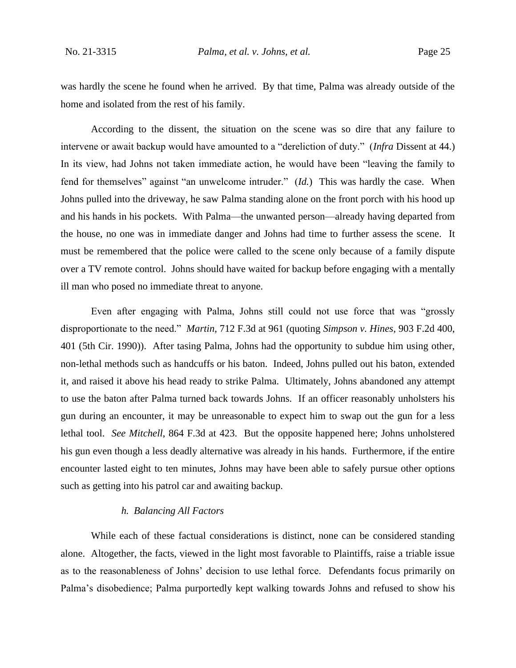was hardly the scene he found when he arrived. By that time, Palma was already outside of the home and isolated from the rest of his family.

According to the dissent, the situation on the scene was so dire that any failure to intervene or await backup would have amounted to a "dereliction of duty." (*Infra* Dissent at 44.) In its view, had Johns not taken immediate action, he would have been "leaving the family to fend for themselves" against "an unwelcome intruder." (*Id.*) This was hardly the case. When Johns pulled into the driveway, he saw Palma standing alone on the front porch with his hood up and his hands in his pockets. With Palma—the unwanted person—already having departed from the house, no one was in immediate danger and Johns had time to further assess the scene. It must be remembered that the police were called to the scene only because of a family dispute over a TV remote control. Johns should have waited for backup before engaging with a mentally ill man who posed no immediate threat to anyone.

Even after engaging with Palma, Johns still could not use force that was "grossly disproportionate to the need." *Martin*, 712 F.3d at 961 (quoting *Simpson v. Hines*, 903 F.2d 400, 401 (5th Cir. 1990)). After tasing Palma, Johns had the opportunity to subdue him using other, non-lethal methods such as handcuffs or his baton. Indeed, Johns pulled out his baton, extended it, and raised it above his head ready to strike Palma. Ultimately, Johns abandoned any attempt to use the baton after Palma turned back towards Johns. If an officer reasonably unholsters his gun during an encounter, it may be unreasonable to expect him to swap out the gun for a less lethal tool. *See Mitchell*, 864 F.3d at 423. But the opposite happened here; Johns unholstered his gun even though a less deadly alternative was already in his hands. Furthermore, if the entire encounter lasted eight to ten minutes, Johns may have been able to safely pursue other options such as getting into his patrol car and awaiting backup.

## *h. Balancing All Factors*

While each of these factual considerations is distinct, none can be considered standing alone. Altogether, the facts, viewed in the light most favorable to Plaintiffs, raise a triable issue as to the reasonableness of Johns' decision to use lethal force. Defendants focus primarily on Palma's disobedience; Palma purportedly kept walking towards Johns and refused to show his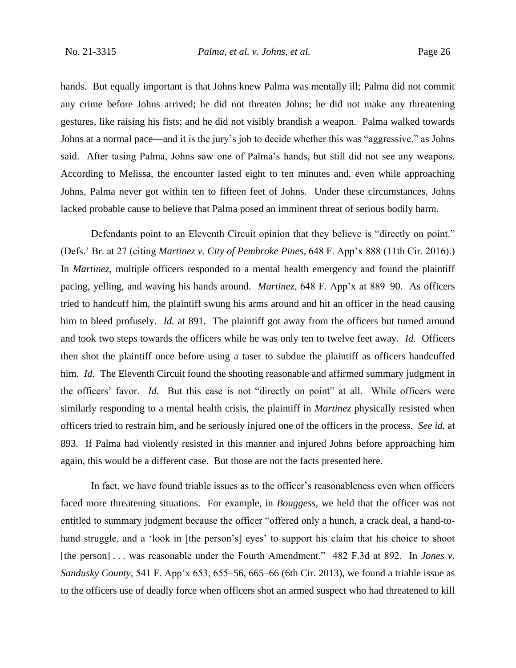hands. But equally important is that Johns knew Palma was mentally ill; Palma did not commit any crime before Johns arrived; he did not threaten Johns; he did not make any threatening gestures, like raising his fists; and he did not visibly brandish a weapon. Palma walked towards Johns at a normal pace—and it is the jury's job to decide whether this was "aggressive," as Johns said. After tasing Palma, Johns saw one of Palma's hands, but still did not see any weapons. According to Melissa, the encounter lasted eight to ten minutes and, even while approaching Johns, Palma never got within ten to fifteen feet of Johns. Under these circumstances, Johns lacked probable cause to believe that Palma posed an imminent threat of serious bodily harm.

Defendants point to an Eleventh Circuit opinion that they believe is "directly on point." (Defs.' Br. at 27 (citing *Martinez v. City of Pembroke Pines*, 648 F. App'x 888 (11th Cir. 2016).) In *Martinez*, multiple officers responded to a mental health emergency and found the plaintiff pacing, yelling, and waving his hands around. *Martinez*, 648 F. App'x at 889–90. As officers tried to handcuff him, the plaintiff swung his arms around and hit an officer in the head causing him to bleed profusely. *Id.* at 891. The plaintiff got away from the officers but turned around and took two steps towards the officers while he was only ten to twelve feet away. *Id.* Officers then shot the plaintiff once before using a taser to subdue the plaintiff as officers handcuffed him. *Id.* The Eleventh Circuit found the shooting reasonable and affirmed summary judgment in the officers' favor. *Id.* But this case is not "directly on point" at all. While officers were similarly responding to a mental health crisis, the plaintiff in *Martinez* physically resisted when officers tried to restrain him, and he seriously injured one of the officers in the process. *See id.* at 893. If Palma had violently resisted in this manner and injured Johns before approaching him again, this would be a different case. But those are not the facts presented here.

In fact, we have found triable issues as to the officer's reasonableness even when officers faced more threatening situations. For example, in *Bouggess*, we held that the officer was not entitled to summary judgment because the officer "offered only a hunch, a crack deal, a hand-tohand struggle, and a 'look in [the person's] eyes' to support his claim that his choice to shoot [the person] . . . was reasonable under the Fourth Amendment." 482 F.3d at 892. In *Jones v*. *Sandusky County*, 541 F. App'x 653, 655–56, 665–66 (6th Cir. 2013), we found a triable issue as to the officers use of deadly force when officers shot an armed suspect who had threatened to kill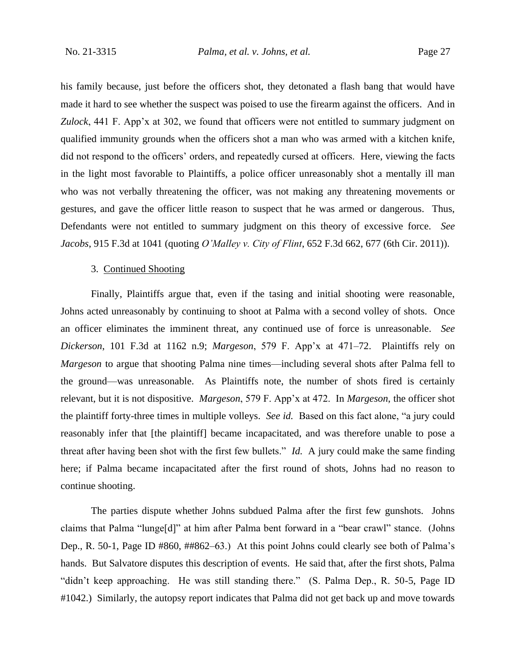his family because, just before the officers shot, they detonated a flash bang that would have made it hard to see whether the suspect was poised to use the firearm against the officers. And in *Zulock*, 441 F. App'x at 302, we found that officers were not entitled to summary judgment on qualified immunity grounds when the officers shot a man who was armed with a kitchen knife, did not respond to the officers' orders, and repeatedly cursed at officers. Here, viewing the facts in the light most favorable to Plaintiffs, a police officer unreasonably shot a mentally ill man who was not verbally threatening the officer, was not making any threatening movements or gestures, and gave the officer little reason to suspect that he was armed or dangerous. Thus, Defendants were not entitled to summary judgment on this theory of excessive force. *See Jacobs*, 915 F.3d at 1041 (quoting *O'Malley v. City of Flint*, 652 F.3d 662, 677 (6th Cir. 2011)).

## 3. Continued Shooting

Finally, Plaintiffs argue that, even if the tasing and initial shooting were reasonable, Johns acted unreasonably by continuing to shoot at Palma with a second volley of shots. Once an officer eliminates the imminent threat, any continued use of force is unreasonable. *See Dickerson*, 101 F.3d at 1162 n.9; *Margeson*, 579 F. App'x at 471–72. Plaintiffs rely on *Margeson* to argue that shooting Palma nine times—including several shots after Palma fell to the ground—was unreasonable. As Plaintiffs note, the number of shots fired is certainly relevant, but it is not dispositive. *Margeson*, 579 F. App'x at 472. In *Margeson*, the officer shot the plaintiff forty-three times in multiple volleys. *See id.* Based on this fact alone, "a jury could reasonably infer that [the plaintiff] became incapacitated, and was therefore unable to pose a threat after having been shot with the first few bullets." *Id.* A jury could make the same finding here; if Palma became incapacitated after the first round of shots, Johns had no reason to continue shooting.

The parties dispute whether Johns subdued Palma after the first few gunshots. Johns claims that Palma "lunge[d]" at him after Palma bent forward in a "bear crawl" stance. (Johns Dep., R. 50-1, Page ID #860, ##862–63.) At this point Johns could clearly see both of Palma's hands. But Salvatore disputes this description of events. He said that, after the first shots, Palma "didn't keep approaching. He was still standing there." (S. Palma Dep., R. 50-5, Page ID #1042.) Similarly, the autopsy report indicates that Palma did not get back up and move towards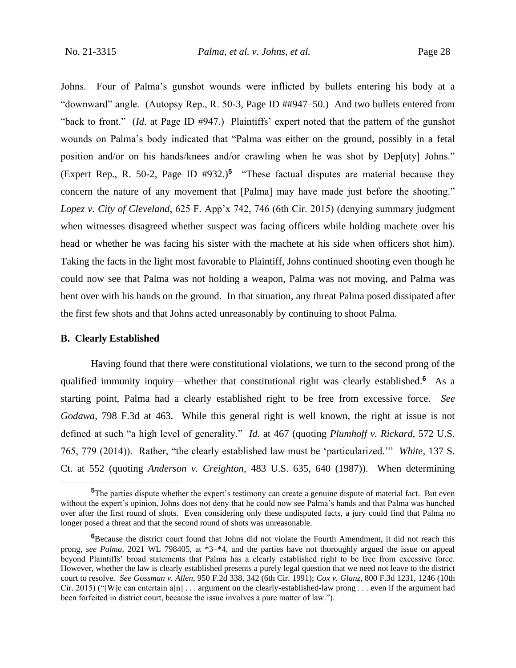Johns. Four of Palma's gunshot wounds were inflicted by bullets entering his body at a "downward" angle. (Autopsy Rep., R. 50-3, Page ID ##947–50.) And two bullets entered from "back to front." (*Id.* at Page ID #947.) Plaintiffs' expert noted that the pattern of the gunshot wounds on Palma's body indicated that "Palma was either on the ground, possibly in a fetal position and/or on his hands/knees and/or crawling when he was shot by Dep[uty] Johns." (Expert Rep., R. 50-2, Page ID #932.)**<sup>5</sup>** "These factual disputes are material because they concern the nature of any movement that [Palma] may have made just before the shooting." *Lopez v. City of Cleveland*, 625 F. App'x 742, 746 (6th Cir. 2015) (denying summary judgment when witnesses disagreed whether suspect was facing officers while holding machete over his head or whether he was facing his sister with the machete at his side when officers shot him). Taking the facts in the light most favorable to Plaintiff, Johns continued shooting even though he could now see that Palma was not holding a weapon, Palma was not moving, and Palma was bent over with his hands on the ground. In that situation, any threat Palma posed dissipated after the first few shots and that Johns acted unreasonably by continuing to shoot Palma.

#### **B. Clearly Established**

Having found that there were constitutional violations, we turn to the second prong of the qualified immunity inquiry—whether that constitutional right was clearly established.**<sup>6</sup>** As a starting point, Palma had a clearly established right to be free from excessive force. *See Godawa*, 798 F.3d at 463. While this general right is well known, the right at issue is not defined at such "a high level of generality." *Id.* at 467 (quoting *Plumhoff v. Rickard*, 572 U.S. 765, 779 (2014)). Rather, "the clearly established law must be 'particularized.'" *White*, 137 S. Ct. at 552 (quoting *Anderson v. Creighton*, 483 U.S. 635, 640 (1987)). When determining

**<sup>5</sup>**The parties dispute whether the expert's testimony can create a genuine dispute of material fact. But even without the expert's opinion, Johns does not deny that he could now see Palma's hands and that Palma was hunched over after the first round of shots. Even considering only these undisputed facts, a jury could find that Palma no longer posed a threat and that the second round of shots was unreasonable.

**<sup>6</sup>**Because the district court found that Johns did not violate the Fourth Amendment, it did not reach this prong, *see Palma*, 2021 WL 798405, at \*3–\*4, and the parties have not thoroughly argued the issue on appeal beyond Plaintiffs' broad statements that Palma has a clearly established right to be free from excessive force. However, whether the law is clearly established presents a purely legal question that we need not leave to the district court to resolve. *See Gossman v. Allen*, 950 F.2d 338, 342 (6th Cir. 1991); *Cox v. Glanz*, 800 F.3d 1231, 1246 (10th Cir. 2015) ("[W]e can entertain a[n]  $\ldots$  argument on the clearly-established-law prong  $\ldots$  even if the argument had been forfeited in district court, because the issue involves a pure matter of law.").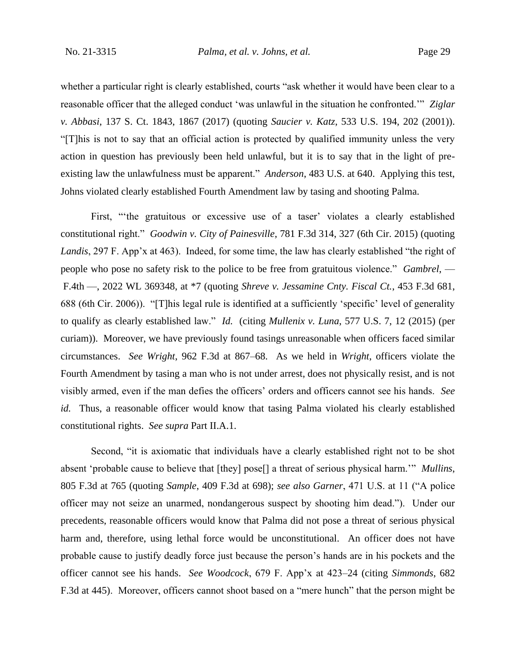whether a particular right is clearly established, courts "ask whether it would have been clear to a reasonable officer that the alleged conduct 'was unlawful in the situation he confronted.'" *Ziglar v. Abbasi*, 137 S. Ct. 1843, 1867 (2017) (quoting *Saucier v. Katz*, 533 U.S. 194, 202 (2001)). "[T]his is not to say that an official action is protected by qualified immunity unless the very action in question has previously been held unlawful, but it is to say that in the light of preexisting law the unlawfulness must be apparent." *Anderson*, 483 U.S. at 640. Applying this test, Johns violated clearly established Fourth Amendment law by tasing and shooting Palma.

First, "'the gratuitous or excessive use of a taser' violates a clearly established constitutional right." *Goodwin v. City of Painesville*, 781 F.3d 314, 327 (6th Cir. 2015) (quoting *Landis*, 297 F. App'x at 463). Indeed, for some time, the law has clearly established "the right of people who pose no safety risk to the police to be free from gratuitous violence." *Gambrel*, — F.4th —, 2022 WL 369348, at \*7 (quoting *Shreve v. Jessamine Cnty. Fiscal Ct.*, 453 F.3d 681, 688 (6th Cir. 2006)). "[T]his legal rule is identified at a sufficiently 'specific' level of generality to qualify as clearly established law." *Id.* (citing *Mullenix v. Luna*, 577 U.S. 7, 12 (2015) (per curiam)). Moreover, we have previously found tasings unreasonable when officers faced similar circumstances. *See Wright*, 962 F.3d at 867–68. As we held in *Wright*, officers violate the Fourth Amendment by tasing a man who is not under arrest, does not physically resist, and is not visibly armed, even if the man defies the officers' orders and officers cannot see his hands. *See id.* Thus, a reasonable officer would know that tasing Palma violated his clearly established constitutional rights. *See supra* Part II.A.1.

Second, "it is axiomatic that individuals have a clearly established right not to be shot absent 'probable cause to believe that [they] pose[] a threat of serious physical harm.'" *Mullins*, 805 F.3d at 765 (quoting *Sample*, 409 F.3d at 698); *see also Garner*, 471 U.S. at 11 ("A police officer may not seize an unarmed, nondangerous suspect by shooting him dead."). Under our precedents, reasonable officers would know that Palma did not pose a threat of serious physical harm and, therefore, using lethal force would be unconstitutional. An officer does not have probable cause to justify deadly force just because the person's hands are in his pockets and the officer cannot see his hands. *See Woodcock*, 679 F. App'x at 423–24 (citing *Simmonds*, 682 F.3d at 445). Moreover, officers cannot shoot based on a "mere hunch" that the person might be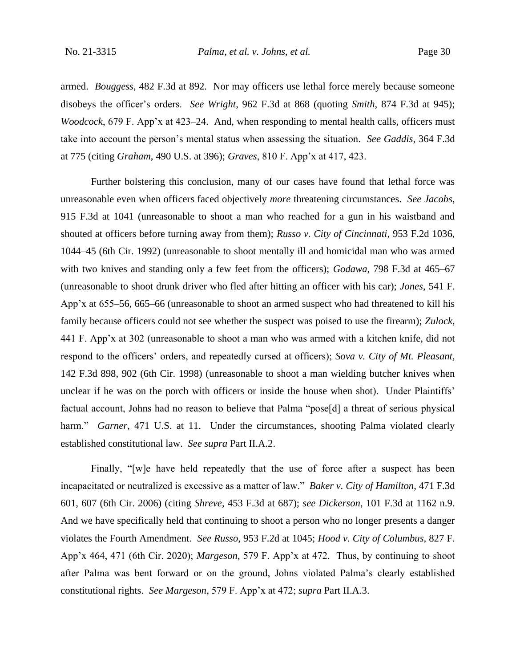armed. *Bouggess*, 482 F.3d at 892. Nor may officers use lethal force merely because someone disobeys the officer's orders. *See Wright*, 962 F.3d at 868 (quoting *Smith*, 874 F.3d at 945); *Woodcock*, 679 F. App'x at 423–24. And, when responding to mental health calls, officers must take into account the person's mental status when assessing the situation. *See Gaddis*, 364 F.3d at 775 (citing *Graham*, 490 U.S. at 396); *Graves*, 810 F. App'x at 417, 423.

Further bolstering this conclusion, many of our cases have found that lethal force was unreasonable even when officers faced objectively *more* threatening circumstances. *See Jacobs*, 915 F.3d at 1041 (unreasonable to shoot a man who reached for a gun in his waistband and shouted at officers before turning away from them); *Russo v. City of Cincinnati*, 953 F.2d 1036, 1044–45 (6th Cir. 1992) (unreasonable to shoot mentally ill and homicidal man who was armed with two knives and standing only a few feet from the officers); *Godawa*, 798 F.3d at 465–67 (unreasonable to shoot drunk driver who fled after hitting an officer with his car); *Jones*, 541 F. App'x at 655–56, 665–66 (unreasonable to shoot an armed suspect who had threatened to kill his family because officers could not see whether the suspect was poised to use the firearm); *Zulock*, 441 F. App'x at 302 (unreasonable to shoot a man who was armed with a kitchen knife, did not respond to the officers' orders, and repeatedly cursed at officers); *Sova v. City of Mt. Pleasant*, 142 F.3d 898, 902 (6th Cir. 1998) (unreasonable to shoot a man wielding butcher knives when unclear if he was on the porch with officers or inside the house when shot). Under Plaintiffs' factual account, Johns had no reason to believe that Palma "pose[d] a threat of serious physical harm." *Garner*, 471 U.S. at 11. Under the circumstances, shooting Palma violated clearly established constitutional law. *See supra* Part II.A.2.

Finally, "[w]e have held repeatedly that the use of force after a suspect has been incapacitated or neutralized is excessive as a matter of law." *Baker v. City of Hamilton*, 471 F.3d 601, 607 (6th Cir. 2006) (citing *Shreve*, 453 F.3d at 687); *see Dickerson*, 101 F.3d at 1162 n.9. And we have specifically held that continuing to shoot a person who no longer presents a danger violates the Fourth Amendment. *See Russo*, 953 F.2d at 1045; *Hood v. City of Columbus*, 827 F. App'x 464, 471 (6th Cir. 2020); *Margeson*, 579 F. App'x at 472. Thus, by continuing to shoot after Palma was bent forward or on the ground, Johns violated Palma's clearly established constitutional rights. *See Margeson*, 579 F. App'x at 472; *supra* Part II.A.3.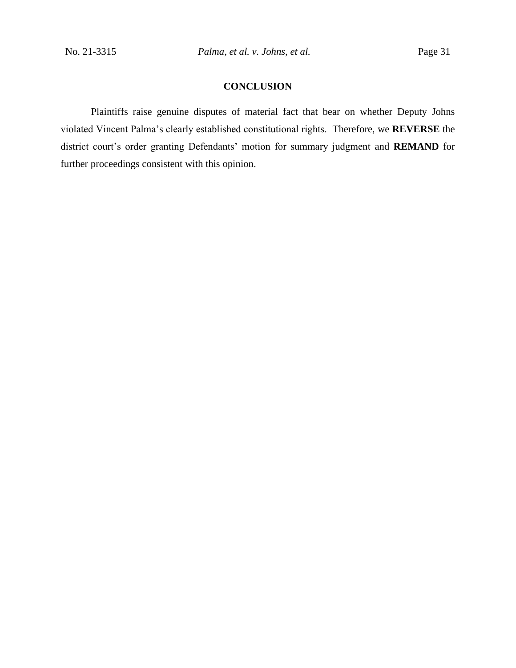## **CONCLUSION**

Plaintiffs raise genuine disputes of material fact that bear on whether Deputy Johns violated Vincent Palma's clearly established constitutional rights. Therefore, we **REVERSE** the district court's order granting Defendants' motion for summary judgment and **REMAND** for further proceedings consistent with this opinion.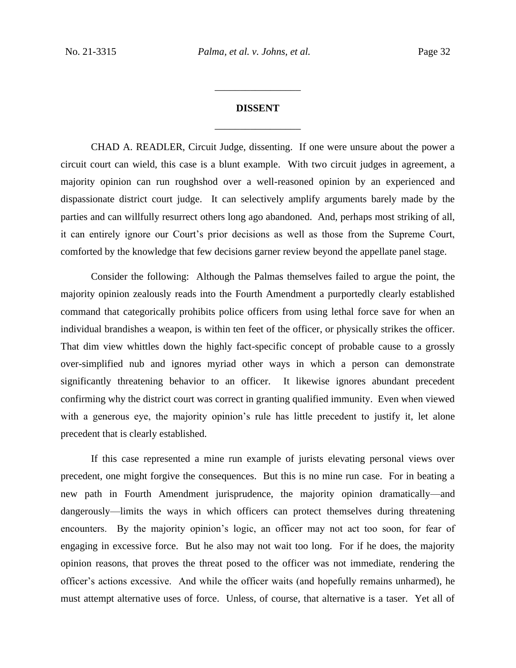# **DISSENT** \_\_\_\_\_\_\_\_\_\_\_\_\_\_\_\_\_

\_\_\_\_\_\_\_\_\_\_\_\_\_\_\_\_\_

CHAD A. READLER, Circuit Judge, dissenting. If one were unsure about the power a circuit court can wield, this case is a blunt example. With two circuit judges in agreement, a majority opinion can run roughshod over a well-reasoned opinion by an experienced and dispassionate district court judge. It can selectively amplify arguments barely made by the parties and can willfully resurrect others long ago abandoned. And, perhaps most striking of all, it can entirely ignore our Court's prior decisions as well as those from the Supreme Court, comforted by the knowledge that few decisions garner review beyond the appellate panel stage.

Consider the following: Although the Palmas themselves failed to argue the point, the majority opinion zealously reads into the Fourth Amendment a purportedly clearly established command that categorically prohibits police officers from using lethal force save for when an individual brandishes a weapon, is within ten feet of the officer, or physically strikes the officer. That dim view whittles down the highly fact-specific concept of probable cause to a grossly over-simplified nub and ignores myriad other ways in which a person can demonstrate significantly threatening behavior to an officer. It likewise ignores abundant precedent confirming why the district court was correct in granting qualified immunity. Even when viewed with a generous eye, the majority opinion's rule has little precedent to justify it, let alone precedent that is clearly established.

If this case represented a mine run example of jurists elevating personal views over precedent, one might forgive the consequences. But this is no mine run case. For in beating a new path in Fourth Amendment jurisprudence, the majority opinion dramatically—and dangerously—limits the ways in which officers can protect themselves during threatening encounters. By the majority opinion's logic, an officer may not act too soon, for fear of engaging in excessive force. But he also may not wait too long. For if he does, the majority opinion reasons, that proves the threat posed to the officer was not immediate, rendering the officer's actions excessive. And while the officer waits (and hopefully remains unharmed), he must attempt alternative uses of force. Unless, of course, that alternative is a taser. Yet all of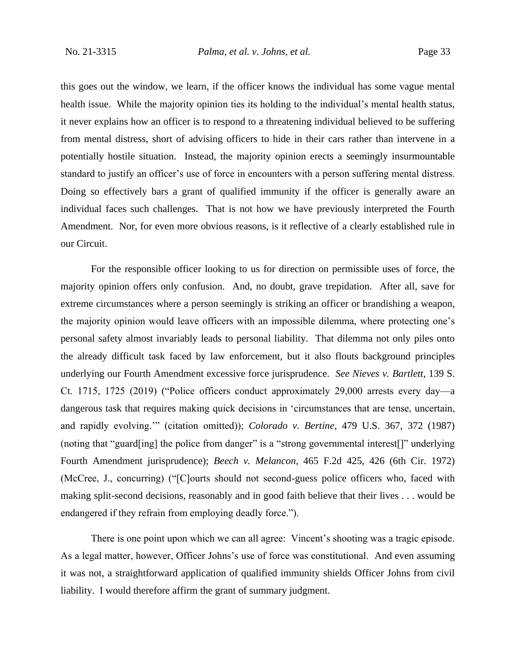this goes out the window, we learn, if the officer knows the individual has some vague mental health issue. While the majority opinion ties its holding to the individual's mental health status, it never explains how an officer is to respond to a threatening individual believed to be suffering from mental distress, short of advising officers to hide in their cars rather than intervene in a potentially hostile situation. Instead, the majority opinion erects a seemingly insurmountable standard to justify an officer's use of force in encounters with a person suffering mental distress. Doing so effectively bars a grant of qualified immunity if the officer is generally aware an individual faces such challenges. That is not how we have previously interpreted the Fourth Amendment. Nor, for even more obvious reasons, is it reflective of a clearly established rule in our Circuit.

For the responsible officer looking to us for direction on permissible uses of force, the majority opinion offers only confusion. And, no doubt, grave trepidation. After all, save for extreme circumstances where a person seemingly is striking an officer or brandishing a weapon, the majority opinion would leave officers with an impossible dilemma, where protecting one's personal safety almost invariably leads to personal liability. That dilemma not only piles onto the already difficult task faced by law enforcement, but it also flouts background principles underlying our Fourth Amendment excessive force jurisprudence. *See Nieves v. Bartlett*, 139 S. Ct. 1715, 1725 (2019) ("Police officers conduct approximately 29,000 arrests every day—a dangerous task that requires making quick decisions in 'circumstances that are tense, uncertain, and rapidly evolving.'" (citation omitted)); *Colorado v. Bertine*, 479 U.S. 367, 372 (1987) (noting that "guard[ing] the police from danger" is a "strong governmental interest[]" underlying Fourth Amendment jurisprudence); *Beech v. Melancon*, 465 F.2d 425, 426 (6th Cir. 1972) (McCree, J., concurring) ("[C]ourts should not second-guess police officers who, faced with making split-second decisions, reasonably and in good faith believe that their lives . . . would be endangered if they refrain from employing deadly force.").

There is one point upon which we can all agree: Vincent's shooting was a tragic episode. As a legal matter, however, Officer Johns's use of force was constitutional. And even assuming it was not, a straightforward application of qualified immunity shields Officer Johns from civil liability. I would therefore affirm the grant of summary judgment.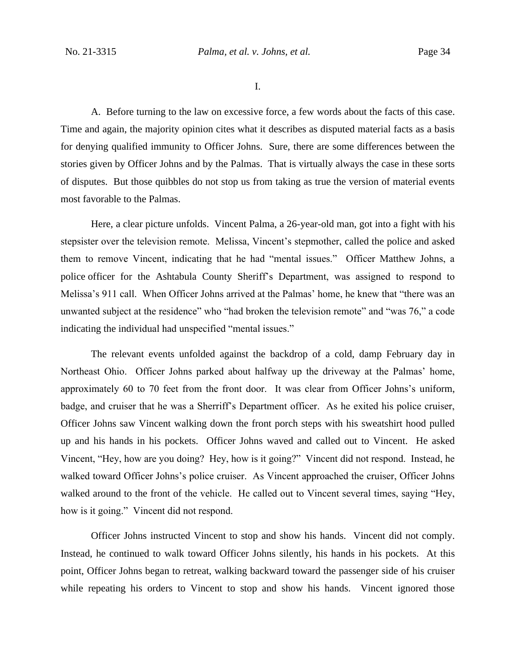I.

A. Before turning to the law on excessive force, a few words about the facts of this case. Time and again, the majority opinion cites what it describes as disputed material facts as a basis for denying qualified immunity to Officer Johns. Sure, there are some differences between the stories given by Officer Johns and by the Palmas. That is virtually always the case in these sorts of disputes. But those quibbles do not stop us from taking as true the version of material events most favorable to the Palmas.

Here, a clear picture unfolds. Vincent Palma, a 26-year-old man, got into a fight with his stepsister over the television remote. Melissa, Vincent's stepmother, called the police and asked them to remove Vincent, indicating that he had "mental issues." Officer Matthew Johns, a police officer for the Ashtabula County Sheriff's Department, was assigned to respond to Melissa's 911 call. When Officer Johns arrived at the Palmas' home, he knew that "there was an unwanted subject at the residence" who "had broken the television remote" and "was 76," a code indicating the individual had unspecified "mental issues."

The relevant events unfolded against the backdrop of a cold, damp February day in Northeast Ohio. Officer Johns parked about halfway up the driveway at the Palmas' home, approximately 60 to 70 feet from the front door. It was clear from Officer Johns's uniform, badge, and cruiser that he was a Sherriff's Department officer. As he exited his police cruiser, Officer Johns saw Vincent walking down the front porch steps with his sweatshirt hood pulled up and his hands in his pockets. Officer Johns waved and called out to Vincent. He asked Vincent, "Hey, how are you doing? Hey, how is it going?" Vincent did not respond. Instead, he walked toward Officer Johns's police cruiser. As Vincent approached the cruiser, Officer Johns walked around to the front of the vehicle. He called out to Vincent several times, saying "Hey, how is it going." Vincent did not respond.

Officer Johns instructed Vincent to stop and show his hands. Vincent did not comply. Instead, he continued to walk toward Officer Johns silently, his hands in his pockets. At this point, Officer Johns began to retreat, walking backward toward the passenger side of his cruiser while repeating his orders to Vincent to stop and show his hands. Vincent ignored those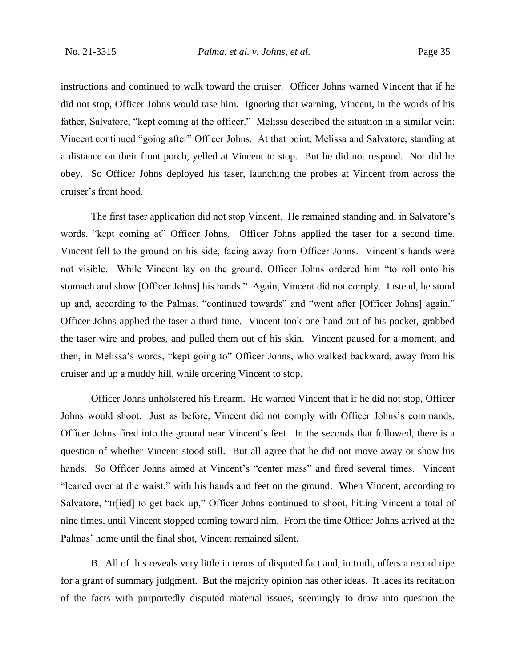instructions and continued to walk toward the cruiser. Officer Johns warned Vincent that if he did not stop, Officer Johns would tase him. Ignoring that warning, Vincent, in the words of his father, Salvatore, "kept coming at the officer." Melissa described the situation in a similar vein: Vincent continued "going after" Officer Johns. At that point, Melissa and Salvatore, standing at a distance on their front porch, yelled at Vincent to stop. But he did not respond. Nor did he obey. So Officer Johns deployed his taser, launching the probes at Vincent from across the cruiser's front hood.

The first taser application did not stop Vincent. He remained standing and, in Salvatore's words, "kept coming at" Officer Johns. Officer Johns applied the taser for a second time. Vincent fell to the ground on his side, facing away from Officer Johns. Vincent's hands were not visible. While Vincent lay on the ground, Officer Johns ordered him "to roll onto his stomach and show [Officer Johns] his hands." Again, Vincent did not comply. Instead, he stood up and, according to the Palmas, "continued towards" and "went after [Officer Johns] again." Officer Johns applied the taser a third time. Vincent took one hand out of his pocket, grabbed the taser wire and probes, and pulled them out of his skin. Vincent paused for a moment, and then, in Melissa's words, "kept going to" Officer Johns, who walked backward, away from his cruiser and up a muddy hill, while ordering Vincent to stop.

Officer Johns unholstered his firearm. He warned Vincent that if he did not stop, Officer Johns would shoot. Just as before, Vincent did not comply with Officer Johns's commands. Officer Johns fired into the ground near Vincent's feet. In the seconds that followed, there is a question of whether Vincent stood still. But all agree that he did not move away or show his hands. So Officer Johns aimed at Vincent's "center mass" and fired several times. Vincent "leaned over at the waist," with his hands and feet on the ground. When Vincent, according to Salvatore, "tr[ied] to get back up," Officer Johns continued to shoot, hitting Vincent a total of nine times, until Vincent stopped coming toward him. From the time Officer Johns arrived at the Palmas' home until the final shot, Vincent remained silent.

B. All of this reveals very little in terms of disputed fact and, in truth, offers a record ripe for a grant of summary judgment. But the majority opinion has other ideas. It laces its recitation of the facts with purportedly disputed material issues, seemingly to draw into question the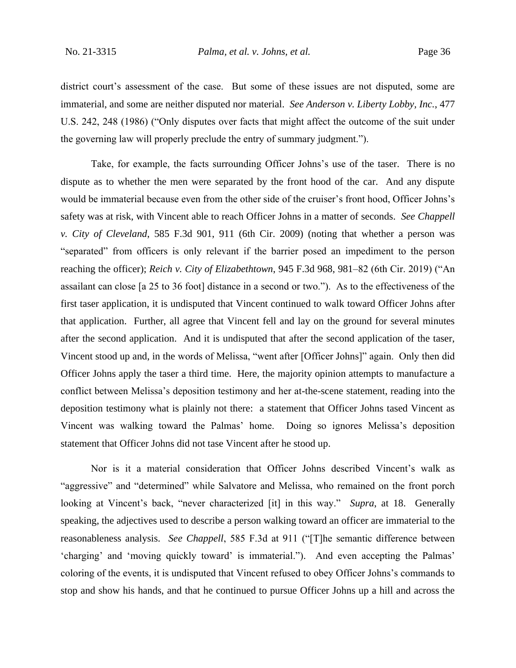district court's assessment of the case. But some of these issues are not disputed, some are immaterial, and some are neither disputed nor material. *See Anderson v. Liberty Lobby, Inc.*, 477 U.S. 242, 248 (1986) ("Only disputes over facts that might affect the outcome of the suit under the governing law will properly preclude the entry of summary judgment.").

Take, for example, the facts surrounding Officer Johns's use of the taser. There is no dispute as to whether the men were separated by the front hood of the car. And any dispute would be immaterial because even from the other side of the cruiser's front hood, Officer Johns's safety was at risk, with Vincent able to reach Officer Johns in a matter of seconds. *See Chappell v. City of Cleveland*, 585 F.3d 901, 911 (6th Cir. 2009) (noting that whether a person was "separated" from officers is only relevant if the barrier posed an impediment to the person reaching the officer); *Reich v. City of Elizabethtown*, 945 F.3d 968, 981–82 (6th Cir. 2019) ("An assailant can close [a 25 to 36 foot] distance in a second or two."). As to the effectiveness of the first taser application, it is undisputed that Vincent continued to walk toward Officer Johns after that application. Further, all agree that Vincent fell and lay on the ground for several minutes after the second application. And it is undisputed that after the second application of the taser, Vincent stood up and, in the words of Melissa, "went after [Officer Johns]" again. Only then did Officer Johns apply the taser a third time. Here, the majority opinion attempts to manufacture a conflict between Melissa's deposition testimony and her at-the-scene statement, reading into the deposition testimony what is plainly not there: a statement that Officer Johns tased Vincent as Vincent was walking toward the Palmas' home. Doing so ignores Melissa's deposition statement that Officer Johns did not tase Vincent after he stood up.

Nor is it a material consideration that Officer Johns described Vincent's walk as "aggressive" and "determined" while Salvatore and Melissa, who remained on the front porch looking at Vincent's back, "never characterized [it] in this way." *Supra*, at 18. Generally speaking, the adjectives used to describe a person walking toward an officer are immaterial to the reasonableness analysis. *See Chappell*, 585 F.3d at 911 ("[T]he semantic difference between 'charging' and 'moving quickly toward' is immaterial."). And even accepting the Palmas' coloring of the events, it is undisputed that Vincent refused to obey Officer Johns's commands to stop and show his hands, and that he continued to pursue Officer Johns up a hill and across the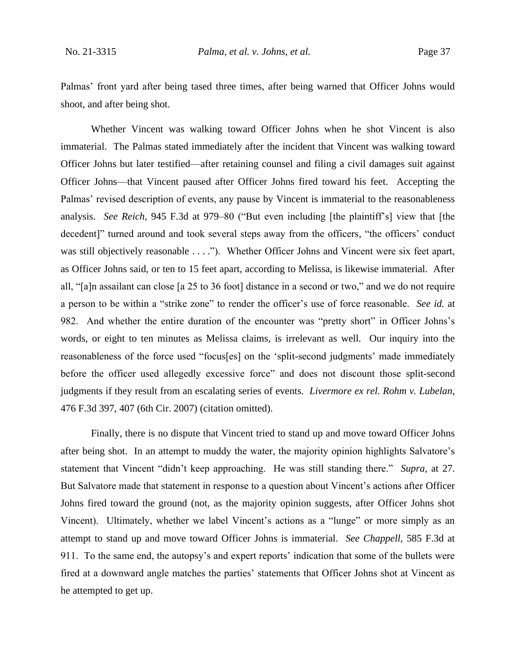Palmas' front yard after being tased three times, after being warned that Officer Johns would shoot, and after being shot.

Whether Vincent was walking toward Officer Johns when he shot Vincent is also immaterial. The Palmas stated immediately after the incident that Vincent was walking toward Officer Johns but later testified—after retaining counsel and filing a civil damages suit against Officer Johns—that Vincent paused after Officer Johns fired toward his feet. Accepting the Palmas' revised description of events, any pause by Vincent is immaterial to the reasonableness analysis. *See Reich*, 945 F.3d at 979–80 ("But even including [the plaintiff's] view that [the decedent]" turned around and took several steps away from the officers, "the officers' conduct was still objectively reasonable . . . ."). Whether Officer Johns and Vincent were six feet apart, as Officer Johns said, or ten to 15 feet apart, according to Melissa, is likewise immaterial. After all, "[a]n assailant can close [a 25 to 36 foot] distance in a second or two," and we do not require a person to be within a "strike zone" to render the officer's use of force reasonable. *See id.* at 982. And whether the entire duration of the encounter was "pretty short" in Officer Johns's words, or eight to ten minutes as Melissa claims, is irrelevant as well. Our inquiry into the reasonableness of the force used "focus[es] on the 'split-second judgments' made immediately before the officer used allegedly excessive force" and does not discount those split-second judgments if they result from an escalating series of events. *Livermore ex rel. Rohm v. Lubelan*, 476 F.3d 397, 407 (6th Cir. 2007) (citation omitted).

Finally, there is no dispute that Vincent tried to stand up and move toward Officer Johns after being shot. In an attempt to muddy the water, the majority opinion highlights Salvatore's statement that Vincent "didn't keep approaching. He was still standing there." *Supra*, at 27. But Salvatore made that statement in response to a question about Vincent's actions after Officer Johns fired toward the ground (not, as the majority opinion suggests, after Officer Johns shot Vincent). Ultimately, whether we label Vincent's actions as a "lunge" or more simply as an attempt to stand up and move toward Officer Johns is immaterial. *See Chappell*, 585 F.3d at 911. To the same end, the autopsy's and expert reports' indication that some of the bullets were fired at a downward angle matches the parties' statements that Officer Johns shot at Vincent as he attempted to get up.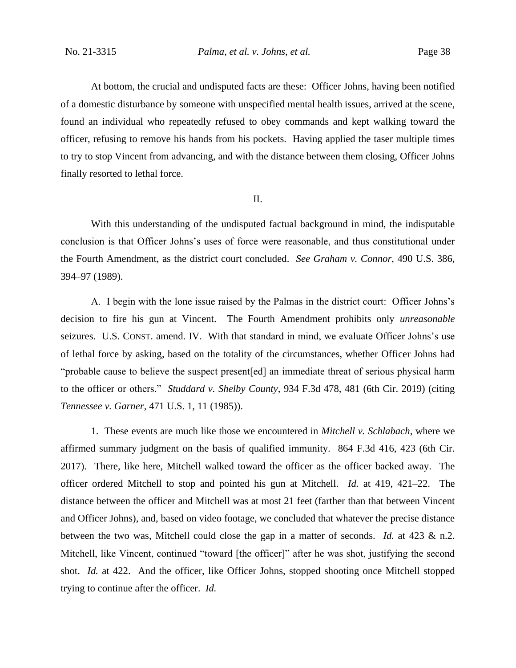At bottom, the crucial and undisputed facts are these:Officer Johns, having been notified of a domestic disturbance by someone with unspecified mental health issues, arrived at the scene, found an individual who repeatedly refused to obey commands and kept walking toward the officer, refusing to remove his hands from his pockets. Having applied the taser multiple times to try to stop Vincent from advancing, and with the distance between them closing, Officer Johns finally resorted to lethal force.

#### II.

With this understanding of the undisputed factual background in mind, the indisputable conclusion is that Officer Johns's uses of force were reasonable, and thus constitutional under the Fourth Amendment, as the district court concluded. *See Graham v. Connor*, 490 U.S. 386, 394–97 (1989).

A. I begin with the lone issue raised by the Palmas in the district court: Officer Johns's decision to fire his gun at Vincent. The Fourth Amendment prohibits only *unreasonable* seizures. U.S. CONST. amend. IV. With that standard in mind, we evaluate Officer Johns's use of lethal force by asking, based on the totality of the circumstances, whether Officer Johns had "probable cause to believe the suspect present[ed] an immediate threat of serious physical harm to the officer or others." *Studdard v. Shelby County*, 934 F.3d 478, 481 (6th Cir. 2019) (citing *Tennessee v. Garner*, 471 U.S. 1, 11 (1985)).

1. These events are much like those we encountered in *Mitchell v. Schlabach*, where we affirmed summary judgment on the basis of qualified immunity. 864 F.3d 416, 423 (6th Cir. 2017). There, like here, Mitchell walked toward the officer as the officer backed away. The officer ordered Mitchell to stop and pointed his gun at Mitchell. *Id.* at 419, 421–22. The distance between the officer and Mitchell was at most 21 feet (farther than that between Vincent and Officer Johns), and, based on video footage, we concluded that whatever the precise distance between the two was, Mitchell could close the gap in a matter of seconds. *Id.* at 423 & n.2. Mitchell, like Vincent, continued "toward [the officer]" after he was shot, justifying the second shot. *Id.* at 422. And the officer, like Officer Johns, stopped shooting once Mitchell stopped trying to continue after the officer. *Id.*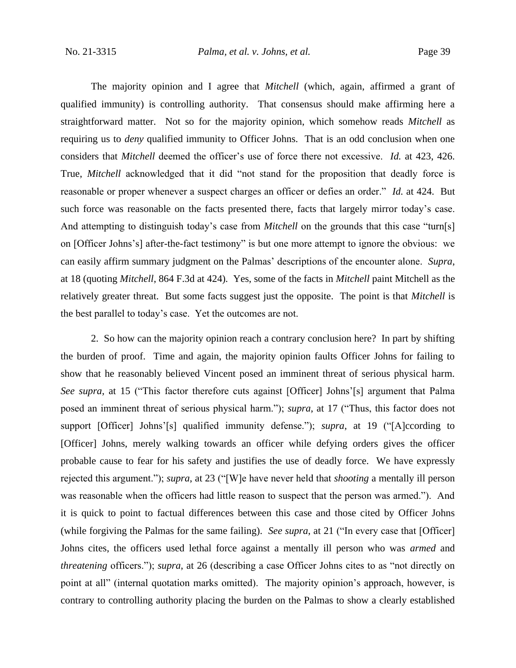The majority opinion and I agree that *Mitchell* (which, again, affirmed a grant of qualified immunity) is controlling authority. That consensus should make affirming here a straightforward matter. Not so for the majority opinion, which somehow reads *Mitchell* as requiring us to *deny* qualified immunity to Officer Johns. That is an odd conclusion when one considers that *Mitchell* deemed the officer's use of force there not excessive. *Id.* at 423, 426. True, *Mitchell* acknowledged that it did "not stand for the proposition that deadly force is reasonable or proper whenever a suspect charges an officer or defies an order." *Id.* at 424. But such force was reasonable on the facts presented there, facts that largely mirror today's case. And attempting to distinguish today's case from *Mitchell* on the grounds that this case "turn[s] on [Officer Johns's] after-the-fact testimony" is but one more attempt to ignore the obvious: we can easily affirm summary judgment on the Palmas' descriptions of the encounter alone. *Supra*, at 18 (quoting *Mitchell*, 864 F.3d at 424)*.* Yes, some of the facts in *Mitchell* paint Mitchell as the relatively greater threat. But some facts suggest just the opposite. The point is that *Mitchell* is the best parallel to today's case. Yet the outcomes are not.

2. So how can the majority opinion reach a contrary conclusion here? In part by shifting the burden of proof. Time and again, the majority opinion faults Officer Johns for failing to show that he reasonably believed Vincent posed an imminent threat of serious physical harm. *See supra*, at 15 ("This factor therefore cuts against [Officer] Johns'[s] argument that Palma posed an imminent threat of serious physical harm."); *supra*, at 17 ("Thus, this factor does not support [Officer] Johns'[s] qualified immunity defense."); *supra*, at 19 ("[A]ccording to [Officer] Johns, merely walking towards an officer while defying orders gives the officer probable cause to fear for his safety and justifies the use of deadly force. We have expressly rejected this argument."); *supra*, at 23 ("[W]e have never held that *shooting* a mentally ill person was reasonable when the officers had little reason to suspect that the person was armed."). And it is quick to point to factual differences between this case and those cited by Officer Johns (while forgiving the Palmas for the same failing). *See supra*, at 21 ("In every case that [Officer] Johns cites, the officers used lethal force against a mentally ill person who was *armed* and *threatening* officers."); *supra*, at 26 (describing a case Officer Johns cites to as "not directly on point at all" (internal quotation marks omitted). The majority opinion's approach, however, is contrary to controlling authority placing the burden on the Palmas to show a clearly established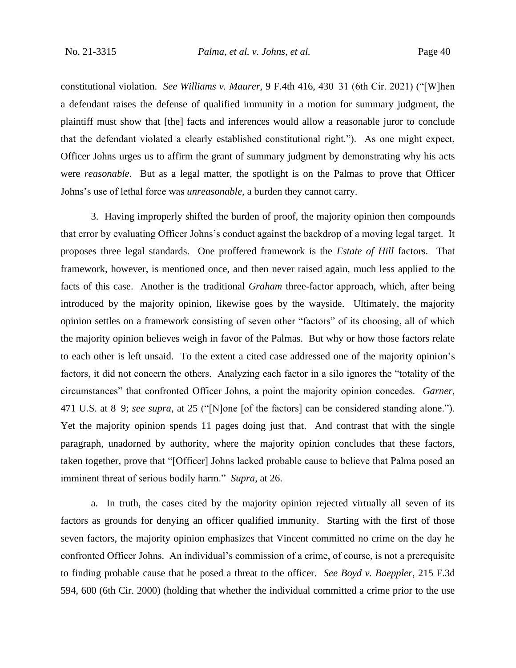constitutional violation. *See Williams v. Maurer*, 9 F.4th 416, 430–31 (6th Cir. 2021) ("[W]hen a defendant raises the defense of qualified immunity in a motion for summary judgment, the plaintiff must show that [the] facts and inferences would allow a reasonable juror to conclude that the defendant violated a clearly established constitutional right."). As one might expect, Officer Johns urges us to affirm the grant of summary judgment by demonstrating why his acts were *reasonable*. But as a legal matter, the spotlight is on the Palmas to prove that Officer Johns's use of lethal force was *unreasonable*, a burden they cannot carry.

3. Having improperly shifted the burden of proof, the majority opinion then compounds that error by evaluating Officer Johns's conduct against the backdrop of a moving legal target. It proposes three legal standards. One proffered framework is the *Estate of Hill* factors. That framework, however, is mentioned once, and then never raised again, much less applied to the facts of this case. Another is the traditional *Graham* three-factor approach, which, after being introduced by the majority opinion, likewise goes by the wayside. Ultimately, the majority opinion settles on a framework consisting of seven other "factors" of its choosing, all of which the majority opinion believes weigh in favor of the Palmas. But why or how those factors relate to each other is left unsaid. To the extent a cited case addressed one of the majority opinion's factors, it did not concern the others. Analyzing each factor in a silo ignores the "totality of the circumstances" that confronted Officer Johns, a point the majority opinion concedes. *Garner*, 471 U.S. at 8–9; *see supra*, at 25 ("[N]one [of the factors] can be considered standing alone."). Yet the majority opinion spends 11 pages doing just that. And contrast that with the single paragraph, unadorned by authority, where the majority opinion concludes that these factors, taken together, prove that "[Officer] Johns lacked probable cause to believe that Palma posed an imminent threat of serious bodily harm." *Supra*, at 26.

a. In truth, the cases cited by the majority opinion rejected virtually all seven of its factors as grounds for denying an officer qualified immunity. Starting with the first of those seven factors, the majority opinion emphasizes that Vincent committed no crime on the day he confronted Officer Johns. An individual's commission of a crime, of course, is not a prerequisite to finding probable cause that he posed a threat to the officer. *See Boyd v. Baeppler*, 215 F.3d 594, 600 (6th Cir. 2000) (holding that whether the individual committed a crime prior to the use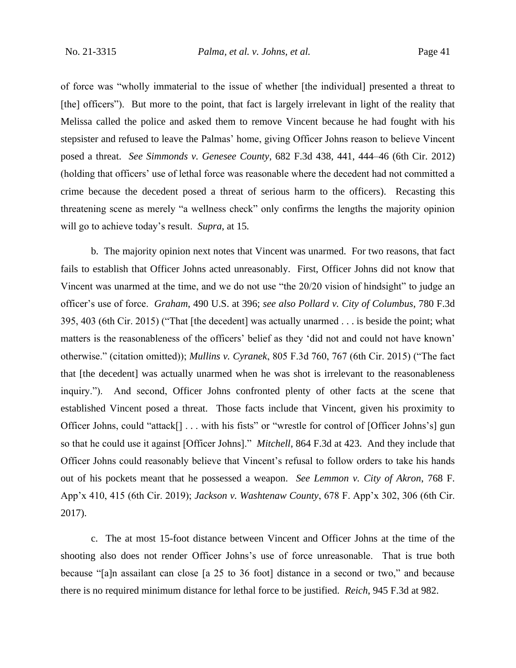of force was "wholly immaterial to the issue of whether [the individual] presented a threat to [the] officers"). But more to the point, that fact is largely irrelevant in light of the reality that Melissa called the police and asked them to remove Vincent because he had fought with his stepsister and refused to leave the Palmas' home, giving Officer Johns reason to believe Vincent posed a threat. *See Simmonds v. Genesee County*, 682 F.3d 438, 441, 444–46 (6th Cir. 2012) (holding that officers' use of lethal force was reasonable where the decedent had not committed a crime because the decedent posed a threat of serious harm to the officers). Recasting this threatening scene as merely "a wellness check" only confirms the lengths the majority opinion will go to achieve today's result. *Supra*, at 15*.*

b. The majority opinion next notes that Vincent was unarmed. For two reasons, that fact fails to establish that Officer Johns acted unreasonably. First, Officer Johns did not know that Vincent was unarmed at the time, and we do not use "the 20/20 vision of hindsight" to judge an officer's use of force. *Graham*, 490 U.S. at 396; *see also Pollard v. City of Columbus*, 780 F.3d 395, 403 (6th Cir. 2015) ("That [the decedent] was actually unarmed . . . is beside the point; what matters is the reasonableness of the officers' belief as they 'did not and could not have known' otherwise." (citation omitted)); *Mullins v. Cyranek*, 805 F.3d 760, 767 (6th Cir. 2015) ("The fact that [the decedent] was actually unarmed when he was shot is irrelevant to the reasonableness inquiry."). And second, Officer Johns confronted plenty of other facts at the scene that established Vincent posed a threat. Those facts include that Vincent, given his proximity to Officer Johns, could "attack[] . . . with his fists" or "wrestle for control of [Officer Johns's] gun so that he could use it against [Officer Johns]." *Mitchell*, 864 F.3d at 423. And they include that Officer Johns could reasonably believe that Vincent's refusal to follow orders to take his hands out of his pockets meant that he possessed a weapon. *See Lemmon v. City of Akron*, 768 F. App'x 410, 415 (6th Cir. 2019); *Jackson v. Washtenaw County*, 678 F. App'x 302, 306 (6th Cir. 2017).

c. The at most 15-foot distance between Vincent and Officer Johns at the time of the shooting also does not render Officer Johns's use of force unreasonable. That is true both because "[a]n assailant can close [a 25 to 36 foot] distance in a second or two," and because there is no required minimum distance for lethal force to be justified. *Reich*, 945 F.3d at 982.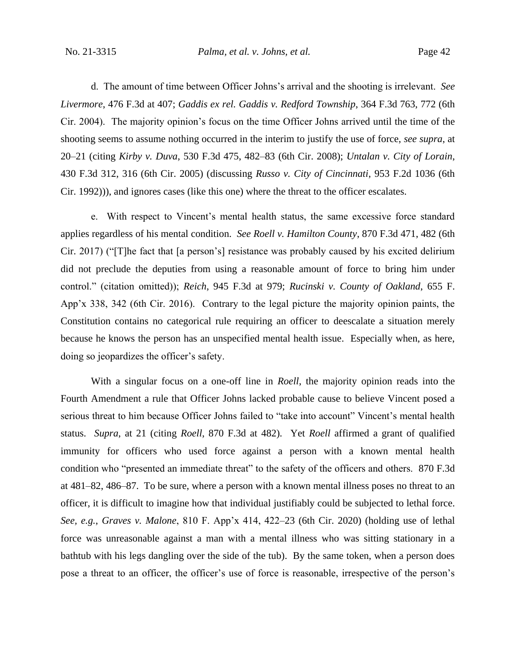d. The amount of time between Officer Johns's arrival and the shooting is irrelevant. *See Livermore*, 476 F.3d at 407; *Gaddis ex rel. Gaddis v. Redford Township*, 364 F.3d 763, 772 (6th Cir. 2004). The majority opinion's focus on the time Officer Johns arrived until the time of the shooting seems to assume nothing occurred in the interim to justify the use of force, *see supra*, at 20–21 (citing *Kirby v. Duva*, 530 F.3d 475, 482–83 (6th Cir. 2008); *Untalan v. City of Lorain*, 430 F.3d 312, 316 (6th Cir. 2005) (discussing *Russo v. City of Cincinnati*, 953 F.2d 1036 (6th Cir. 1992))), and ignores cases (like this one) where the threat to the officer escalates.

e. With respect to Vincent's mental health status, the same excessive force standard applies regardless of his mental condition. *See Roell v. Hamilton County*, 870 F.3d 471, 482 (6th Cir. 2017) ("[T]he fact that [a person's] resistance was probably caused by his excited delirium did not preclude the deputies from using a reasonable amount of force to bring him under control." (citation omitted)); *Reich*, 945 F.3d at 979; *Rucinski v. County of Oakland*, 655 F. App'x 338, 342 (6th Cir. 2016). Contrary to the legal picture the majority opinion paints, the Constitution contains no categorical rule requiring an officer to deescalate a situation merely because he knows the person has an unspecified mental health issue. Especially when, as here, doing so jeopardizes the officer's safety.

With a singular focus on a one-off line in *Roell*, the majority opinion reads into the Fourth Amendment a rule that Officer Johns lacked probable cause to believe Vincent posed a serious threat to him because Officer Johns failed to "take into account" Vincent's mental health status. *Supra*, at 21 (citing *Roell*, 870 F.3d at 482)*.* Yet *Roell* affirmed a grant of qualified immunity for officers who used force against a person with a known mental health condition who "presented an immediate threat" to the safety of the officers and others. 870 F.3d at 481–82, 486–87. To be sure, where a person with a known mental illness poses no threat to an officer, it is difficult to imagine how that individual justifiably could be subjected to lethal force. *See, e.g.*, *Graves v. Malone*, 810 F. App'x 414, 422–23 (6th Cir. 2020) (holding use of lethal force was unreasonable against a man with a mental illness who was sitting stationary in a bathtub with his legs dangling over the side of the tub). By the same token, when a person does pose a threat to an officer, the officer's use of force is reasonable, irrespective of the person's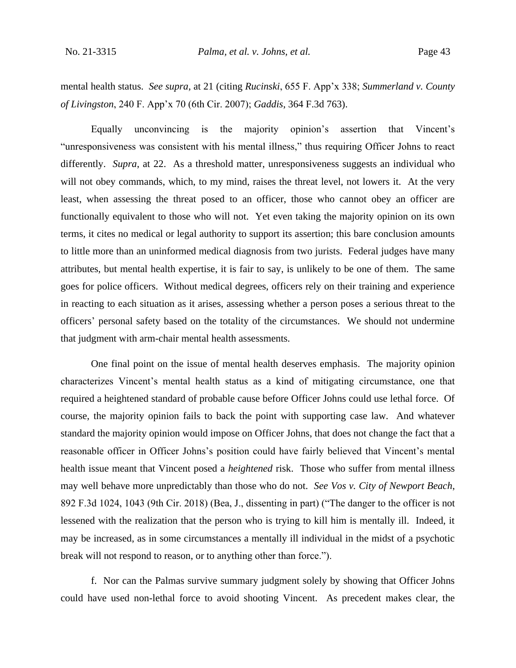mental health status. *See supra*, at 21 (citing *Rucinski*, 655 F. App'x 338; *Summerland v. County of Livingston*, 240 F. App'x 70 (6th Cir. 2007); *Gaddis*, 364 F.3d 763).

Equally unconvincing is the majority opinion's assertion that Vincent's "unresponsiveness was consistent with his mental illness," thus requiring Officer Johns to react differently. *Supra*, at 22. As a threshold matter, unresponsiveness suggests an individual who will not obey commands, which, to my mind, raises the threat level, not lowers it. At the very least, when assessing the threat posed to an officer, those who cannot obey an officer are functionally equivalent to those who will not. Yet even taking the majority opinion on its own terms, it cites no medical or legal authority to support its assertion; this bare conclusion amounts to little more than an uninformed medical diagnosis from two jurists. Federal judges have many attributes, but mental health expertise, it is fair to say, is unlikely to be one of them. The same goes for police officers. Without medical degrees, officers rely on their training and experience in reacting to each situation as it arises, assessing whether a person poses a serious threat to the officers' personal safety based on the totality of the circumstances. We should not undermine that judgment with arm-chair mental health assessments.

One final point on the issue of mental health deserves emphasis. The majority opinion characterizes Vincent's mental health status as a kind of mitigating circumstance, one that required a heightened standard of probable cause before Officer Johns could use lethal force. Of course, the majority opinion fails to back the point with supporting case law. And whatever standard the majority opinion would impose on Officer Johns, that does not change the fact that a reasonable officer in Officer Johns's position could have fairly believed that Vincent's mental health issue meant that Vincent posed a *heightened* risk. Those who suffer from mental illness may well behave more unpredictably than those who do not. *See Vos v. City of Newport Beach*, 892 F.3d 1024, 1043 (9th Cir. 2018) (Bea, J., dissenting in part) ("The danger to the officer is not lessened with the realization that the person who is trying to kill him is mentally ill. Indeed, it may be increased, as in some circumstances a mentally ill individual in the midst of a psychotic break will not respond to reason, or to anything other than force.").

f. Nor can the Palmas survive summary judgment solely by showing that Officer Johns could have used non-lethal force to avoid shooting Vincent. As precedent makes clear, the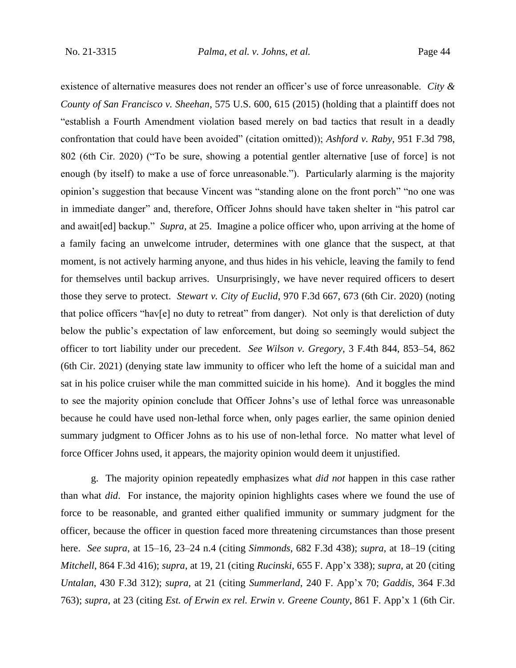existence of alternative measures does not render an officer's use of force unreasonable. *City & County of San Francisco v. Sheehan*, 575 U.S. 600, 615 (2015) (holding that a plaintiff does not "establish a Fourth Amendment violation based merely on bad tactics that result in a deadly confrontation that could have been avoided" (citation omitted)); *Ashford v. Raby*, 951 F.3d 798, 802 (6th Cir. 2020) ("To be sure, showing a potential gentler alternative [use of force] is not enough (by itself) to make a use of force unreasonable."). Particularly alarming is the majority opinion's suggestion that because Vincent was "standing alone on the front porch" "no one was in immediate danger" and, therefore, Officer Johns should have taken shelter in "his patrol car and await[ed] backup." *Supra*, at 25. Imagine a police officer who, upon arriving at the home of a family facing an unwelcome intruder, determines with one glance that the suspect, at that moment, is not actively harming anyone, and thus hides in his vehicle, leaving the family to fend for themselves until backup arrives. Unsurprisingly, we have never required officers to desert those they serve to protect. *Stewart v. City of Euclid*, 970 F.3d 667, 673 (6th Cir. 2020) (noting that police officers "hav[e] no duty to retreat" from danger). Not only is that dereliction of duty below the public's expectation of law enforcement, but doing so seemingly would subject the officer to tort liability under our precedent. *See Wilson v. Gregory*, 3 F.4th 844, 853–54, 862 (6th Cir. 2021) (denying state law immunity to officer who left the home of a suicidal man and sat in his police cruiser while the man committed suicide in his home). And it boggles the mind to see the majority opinion conclude that Officer Johns's use of lethal force was unreasonable because he could have used non-lethal force when, only pages earlier, the same opinion denied summary judgment to Officer Johns as to his use of non-lethal force. No matter what level of force Officer Johns used, it appears, the majority opinion would deem it unjustified.

g. The majority opinion repeatedly emphasizes what *did not* happen in this case rather than what *did*.For instance, the majority opinion highlights cases where we found the use of force to be reasonable, and granted either qualified immunity or summary judgment for the officer, because the officer in question faced more threatening circumstances than those present here. *See supra*, at 15–16, 23–24 n.4 (citing *Simmonds*, 682 F.3d 438); *supra*, at 18–19 (citing *Mitchell*, 864 F.3d 416); *supra*, at 19, 21 (citing *Rucinski*, 655 F. App'x 338); *supra*, at 20 (citing *Untalan*, 430 F.3d 312); *supra*, at 21 (citing *Summerland*, 240 F. App'x 70; *Gaddis*, 364 F.3d 763); *supra*, at 23 (citing *Est. of Erwin ex rel. Erwin v. Greene County*, 861 F. App'x 1 (6th Cir.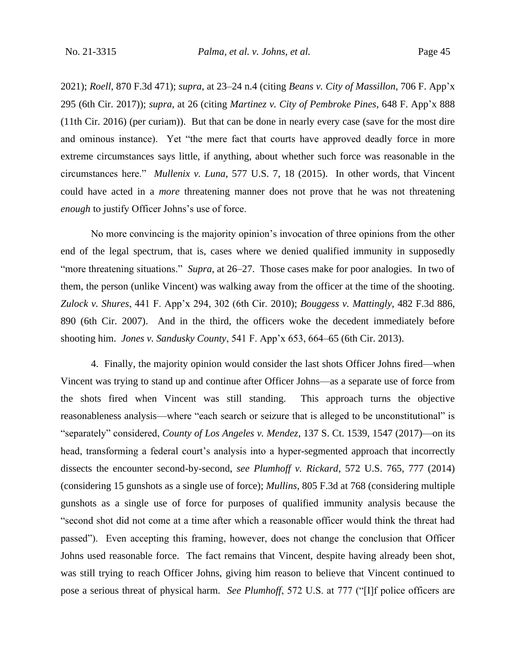2021); *Roell*, 870 F.3d 471); *supra*, at 23–24 n.4 (citing *Beans v. City of Massillon*, 706 F. App'x 295 (6th Cir. 2017)); *supra*, at 26 (citing *Martinez v. City of Pembroke Pines*, 648 F. App'x 888 (11th Cir. 2016) (per curiam)). But that can be done in nearly every case (save for the most dire and ominous instance). Yet "the mere fact that courts have approved deadly force in more extreme circumstances says little, if anything, about whether such force was reasonable in the circumstances here." *Mullenix v. Luna*, 577 U.S. 7, 18 (2015). In other words, that Vincent could have acted in a *more* threatening manner does not prove that he was not threatening *enough* to justify Officer Johns's use of force.

No more convincing is the majority opinion's invocation of three opinions from the other end of the legal spectrum, that is, cases where we denied qualified immunity in supposedly "more threatening situations." *Supra*, at 26–27. Those cases make for poor analogies. In two of them, the person (unlike Vincent) was walking away from the officer at the time of the shooting. *Zulock v. Shures*, 441 F. App'x 294, 302 (6th Cir. 2010); *Bouggess v. Mattingly*, 482 F.3d 886, 890 (6th Cir. 2007). And in the third, the officers woke the decedent immediately before shooting him. *Jones v. Sandusky County*, 541 F. App'x 653, 664–65 (6th Cir. 2013).

4. Finally, the majority opinion would consider the last shots Officer Johns fired—when Vincent was trying to stand up and continue after Officer Johns—as a separate use of force from the shots fired when Vincent was still standing. This approach turns the objective reasonableness analysis—where "each search or seizure that is alleged to be unconstitutional" is "separately" considered, *County of Los Angeles v. Mendez*, 137 S. Ct. 1539, 1547 (2017)—on its head, transforming a federal court's analysis into a hyper-segmented approach that incorrectly dissects the encounter second-by-second, *see Plumhoff v. Rickard*, 572 U.S. 765, 777 (2014) (considering 15 gunshots as a single use of force); *Mullins*, 805 F.3d at 768 (considering multiple gunshots as a single use of force for purposes of qualified immunity analysis because the "second shot did not come at a time after which a reasonable officer would think the threat had passed"). Even accepting this framing, however, does not change the conclusion that Officer Johns used reasonable force. The fact remains that Vincent, despite having already been shot, was still trying to reach Officer Johns, giving him reason to believe that Vincent continued to pose a serious threat of physical harm. *See Plumhoff*, 572 U.S. at 777 ("[I]f police officers are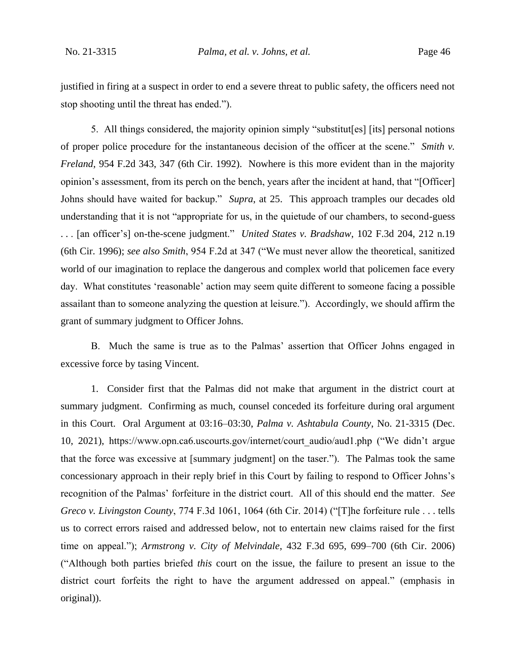justified in firing at a suspect in order to end a severe threat to public safety, the officers need not stop shooting until the threat has ended.").

5. All things considered, the majority opinion simply "substitut[es] [its] personal notions of proper police procedure for the instantaneous decision of the officer at the scene." *Smith v. Freland*, 954 F.2d 343, 347 (6th Cir. 1992). Nowhere is this more evident than in the majority opinion's assessment, from its perch on the bench, years after the incident at hand, that "[Officer] Johns should have waited for backup." *Supra*, at 25.This approach tramples our decades old understanding that it is not "appropriate for us, in the quietude of our chambers, to second-guess . . . [an officer's] on-the-scene judgment." *United States v. Bradshaw*, 102 F.3d 204, 212 n.19 (6th Cir. 1996); *see also Smith*, 954 F.2d at 347 ("We must never allow the theoretical, sanitized world of our imagination to replace the dangerous and complex world that policemen face every day. What constitutes 'reasonable' action may seem quite different to someone facing a possible assailant than to someone analyzing the question at leisure."). Accordingly, we should affirm the grant of summary judgment to Officer Johns.

B. Much the same is true as to the Palmas' assertion that Officer Johns engaged in excessive force by tasing Vincent.

1. Consider first that the Palmas did not make that argument in the district court at summary judgment. Confirming as much, counsel conceded its forfeiture during oral argument in this Court. Oral Argument at 03:16–03:30, *Palma v. Ashtabula County*, No. 21-3315 (Dec. 10, 2021), https://www.opn.ca6.uscourts.gov/internet/court\_audio/aud1.php ("We didn't argue that the force was excessive at [summary judgment] on the taser.").The Palmas took the same concessionary approach in their reply brief in this Court by failing to respond to Officer Johns's recognition of the Palmas' forfeiture in the district court. All of this should end the matter. *See Greco v. Livingston County*, 774 F.3d 1061, 1064 (6th Cir. 2014) ("[T]he forfeiture rule . . . tells us to correct errors raised and addressed below, not to entertain new claims raised for the first time on appeal."); *Armstrong v. City of Melvindale*, 432 F.3d 695, 699–700 (6th Cir. 2006) ("Although both parties briefed *this* court on the issue, the failure to present an issue to the district court forfeits the right to have the argument addressed on appeal." (emphasis in original)).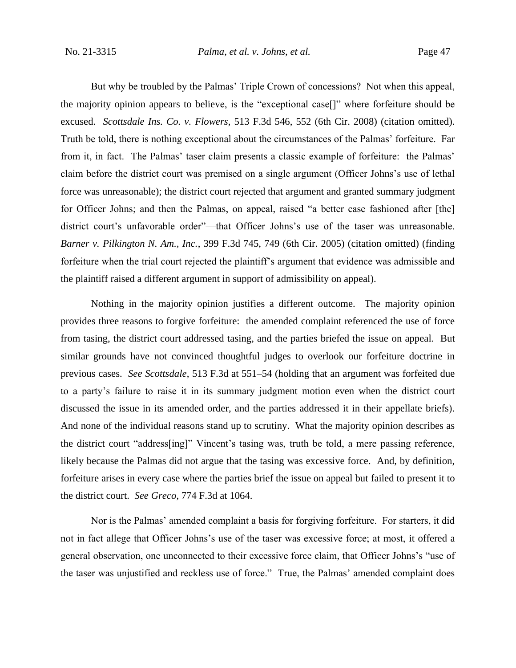But why be troubled by the Palmas' Triple Crown of concessions? Not when this appeal, the majority opinion appears to believe, is the "exceptional case[]" where forfeiture should be excused. *Scottsdale Ins. Co. v. Flowers*, 513 F.3d 546, 552 (6th Cir. 2008) (citation omitted). Truth be told, there is nothing exceptional about the circumstances of the Palmas' forfeiture. Far from it, in fact. The Palmas' taser claim presents a classic example of forfeiture: the Palmas' claim before the district court was premised on a single argument (Officer Johns's use of lethal force was unreasonable); the district court rejected that argument and granted summary judgment for Officer Johns; and then the Palmas, on appeal, raised "a better case fashioned after [the] district court's unfavorable order"—that Officer Johns's use of the taser was unreasonable. *Barner v. Pilkington N. Am., Inc.*, 399 F.3d 745, 749 (6th Cir. 2005) (citation omitted) (finding forfeiture when the trial court rejected the plaintiff's argument that evidence was admissible and the plaintiff raised a different argument in support of admissibility on appeal).

Nothing in the majority opinion justifies a different outcome. The majority opinion provides three reasons to forgive forfeiture: the amended complaint referenced the use of force from tasing, the district court addressed tasing, and the parties briefed the issue on appeal. But similar grounds have not convinced thoughtful judges to overlook our forfeiture doctrine in previous cases. *See Scottsdale*, 513 F.3d at 551–54 (holding that an argument was forfeited due to a party's failure to raise it in its summary judgment motion even when the district court discussed the issue in its amended order, and the parties addressed it in their appellate briefs). And none of the individual reasons stand up to scrutiny. What the majority opinion describes as the district court "address[ing]" Vincent's tasing was, truth be told, a mere passing reference, likely because the Palmas did not argue that the tasing was excessive force. And, by definition, forfeiture arises in every case where the parties brief the issue on appeal but failed to present it to the district court. *See Greco*, 774 F.3d at 1064.

Nor is the Palmas' amended complaint a basis for forgiving forfeiture. For starters, it did not in fact allege that Officer Johns's use of the taser was excessive force; at most, it offered a general observation, one unconnected to their excessive force claim, that Officer Johns's "use of the taser was unjustified and reckless use of force." True, the Palmas' amended complaint does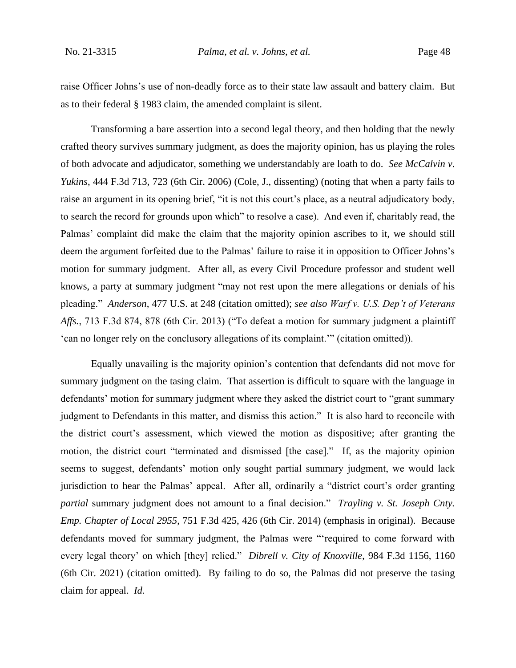raise Officer Johns's use of non-deadly force as to their state law assault and battery claim. But as to their federal § 1983 claim, the amended complaint is silent.

Transforming a bare assertion into a second legal theory, and then holding that the newly crafted theory survives summary judgment, as does the majority opinion, has us playing the roles of both advocate and adjudicator, something we understandably are loath to do. *See McCalvin v. Yukins*, 444 F.3d 713, 723 (6th Cir. 2006) (Cole, J., dissenting) (noting that when a party fails to raise an argument in its opening brief, "it is not this court's place, as a neutral adjudicatory body, to search the record for grounds upon which" to resolve a case). And even if, charitably read, the Palmas' complaint did make the claim that the majority opinion ascribes to it, we should still deem the argument forfeited due to the Palmas' failure to raise it in opposition to Officer Johns's motion for summary judgment. After all, as every Civil Procedure professor and student well knows, a party at summary judgment "may not rest upon the mere allegations or denials of his pleading." *Anderson*, 477 U.S. at 248 (citation omitted); *see also Warf v. U.S. Dep't of Veterans Affs.*, 713 F.3d 874, 878 (6th Cir. 2013) ("To defeat a motion for summary judgment a plaintiff 'can no longer rely on the conclusory allegations of its complaint.'" (citation omitted)).

Equally unavailing is the majority opinion's contention that defendants did not move for summary judgment on the tasing claim. That assertion is difficult to square with the language in defendants' motion for summary judgment where they asked the district court to "grant summary judgment to Defendants in this matter, and dismiss this action." It is also hard to reconcile with the district court's assessment, which viewed the motion as dispositive; after granting the motion, the district court "terminated and dismissed [the case]." If, as the majority opinion seems to suggest, defendants' motion only sought partial summary judgment, we would lack jurisdiction to hear the Palmas' appeal. After all, ordinarily a "district court's order granting *partial* summary judgment does not amount to a final decision." *Trayling v. St. Joseph Cnty. Emp. Chapter of Local 2955*, 751 F.3d 425, 426 (6th Cir. 2014) (emphasis in original). Because defendants moved for summary judgment, the Palmas were "'required to come forward with every legal theory' on which [they] relied." *Dibrell v. City of Knoxville*, 984 F.3d 1156, 1160 (6th Cir. 2021) (citation omitted). By failing to do so, the Palmas did not preserve the tasing claim for appeal. *Id.*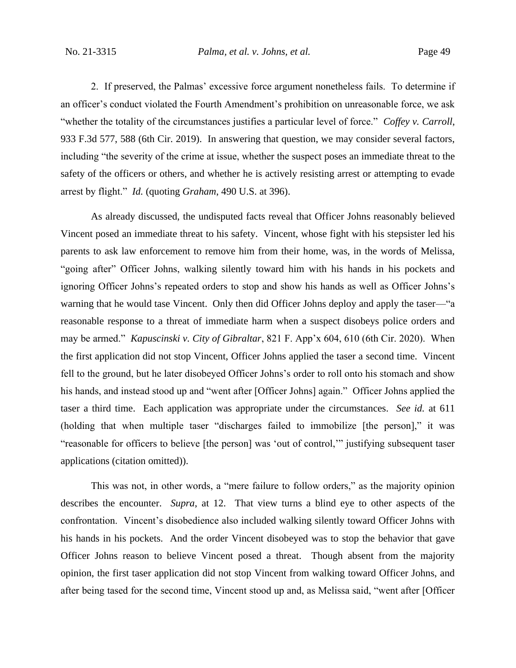2. If preserved, the Palmas' excessive force argument nonetheless fails. To determine if an officer's conduct violated the Fourth Amendment's prohibition on unreasonable force, we ask "whether the totality of the circumstances justifies a particular level of force." *Coffey v. Carroll*, 933 F.3d 577, 588 (6th Cir. 2019). In answering that question, we may consider several factors, including "the severity of the crime at issue, whether the suspect poses an immediate threat to the safety of the officers or others, and whether he is actively resisting arrest or attempting to evade arrest by flight." *Id.* (quoting *Graham*, 490 U.S. at 396).

As already discussed, the undisputed facts reveal that Officer Johns reasonably believed Vincent posed an immediate threat to his safety. Vincent, whose fight with his stepsister led his parents to ask law enforcement to remove him from their home, was, in the words of Melissa, "going after" Officer Johns, walking silently toward him with his hands in his pockets and ignoring Officer Johns's repeated orders to stop and show his hands as well as Officer Johns's warning that he would tase Vincent. Only then did Officer Johns deploy and apply the taser—"a" reasonable response to a threat of immediate harm when a suspect disobeys police orders and may be armed." *Kapuscinski v. City of Gibraltar*, 821 F. App'x 604, 610 (6th Cir. 2020). When the first application did not stop Vincent, Officer Johns applied the taser a second time. Vincent fell to the ground, but he later disobeyed Officer Johns's order to roll onto his stomach and show his hands, and instead stood up and "went after [Officer Johns] again." Officer Johns applied the taser a third time. Each application was appropriate under the circumstances. *See id.* at 611 (holding that when multiple taser "discharges failed to immobilize [the person]," it was "reasonable for officers to believe [the person] was 'out of control,'" justifying subsequent taser applications (citation omitted)).

This was not, in other words, a "mere failure to follow orders," as the majority opinion describes the encounter. *Supra*, at 12.That view turns a blind eye to other aspects of the confrontation. Vincent's disobedience also included walking silently toward Officer Johns with his hands in his pockets. And the order Vincent disobeyed was to stop the behavior that gave Officer Johns reason to believe Vincent posed a threat. Though absent from the majority opinion, the first taser application did not stop Vincent from walking toward Officer Johns, and after being tased for the second time, Vincent stood up and, as Melissa said, "went after [Officer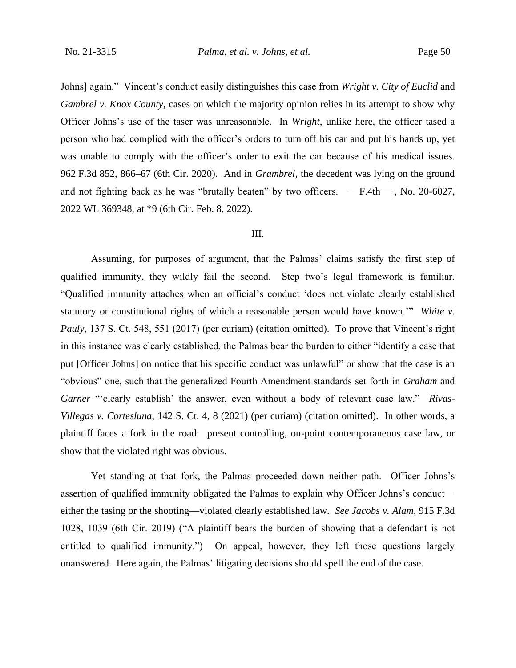Johns] again." Vincent's conduct easily distinguishes this case from *Wright v. City of Euclid* and *Gambrel v. Knox County*, cases on which the majority opinion relies in its attempt to show why Officer Johns's use of the taser was unreasonable. In *Wright*, unlike here, the officer tased a person who had complied with the officer's orders to turn off his car and put his hands up, yet was unable to comply with the officer's order to exit the car because of his medical issues. 962 F.3d 852, 866–67 (6th Cir. 2020). And in *Grambrel,* the decedent was lying on the ground and not fighting back as he was "brutally beaten" by two officers. — F.4th —, No. 20-6027, 2022 WL 369348, at \*9 (6th Cir. Feb. 8, 2022).

## III.

Assuming, for purposes of argument, that the Palmas' claims satisfy the first step of qualified immunity, they wildly fail the second. Step two's legal framework is familiar. "Qualified immunity attaches when an official's conduct 'does not violate clearly established statutory or constitutional rights of which a reasonable person would have known.'" *White v. Pauly*, 137 S. Ct. 548, 551 (2017) (per curiam) (citation omitted). To prove that Vincent's right in this instance was clearly established, the Palmas bear the burden to either "identify a case that put [Officer Johns] on notice that his specific conduct was unlawful" or show that the case is an "obvious" one, such that the generalized Fourth Amendment standards set forth in *Graham* and *Garner* "'clearly establish' the answer, even without a body of relevant case law." *Rivas-Villegas v. Cortesluna*, 142 S. Ct. 4, 8 (2021) (per curiam) (citation omitted). In other words, a plaintiff faces a fork in the road: present controlling, on-point contemporaneous case law, or show that the violated right was obvious.

Yet standing at that fork, the Palmas proceeded down neither path. Officer Johns's assertion of qualified immunity obligated the Palmas to explain why Officer Johns's conduct either the tasing or the shooting—violated clearly established law. *See Jacobs v. Alam*, 915 F.3d 1028, 1039 (6th Cir. 2019) ("A plaintiff bears the burden of showing that a defendant is not entitled to qualified immunity.") On appeal, however, they left those questions largely unanswered. Here again, the Palmas' litigating decisions should spell the end of the case.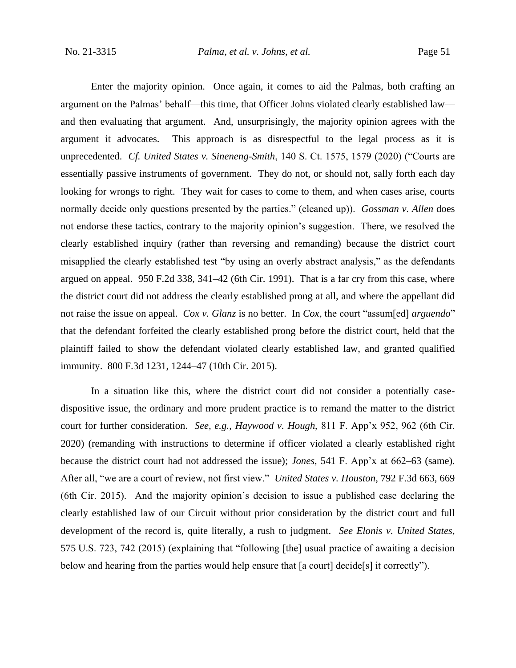Enter the majority opinion. Once again, it comes to aid the Palmas, both crafting an argument on the Palmas' behalf—this time, that Officer Johns violated clearly established law and then evaluating that argument. And, unsurprisingly, the majority opinion agrees with the argument it advocates. This approach is as disrespectful to the legal process as it is unprecedented. *Cf. United States v. Sineneng-Smith*, 140 S. Ct. 1575, 1579 (2020) ("Courts are essentially passive instruments of government. They do not, or should not, sally forth each day looking for wrongs to right. They wait for cases to come to them, and when cases arise, courts normally decide only questions presented by the parties." (cleaned up)). *Gossman v. Allen* does not endorse these tactics, contrary to the majority opinion's suggestion. There, we resolved the clearly established inquiry (rather than reversing and remanding) because the district court misapplied the clearly established test "by using an overly abstract analysis," as the defendants argued on appeal. 950 F.2d 338, 341–42 (6th Cir. 1991). That is a far cry from this case, where the district court did not address the clearly established prong at all, and where the appellant did not raise the issue on appeal. *Cox v. Glanz* is no better. In *Cox*, the court "assum[ed] *arguendo*" that the defendant forfeited the clearly established prong before the district court, held that the plaintiff failed to show the defendant violated clearly established law, and granted qualified immunity. 800 F.3d 1231, 1244–47 (10th Cir. 2015).

In a situation like this, where the district court did not consider a potentially casedispositive issue, the ordinary and more prudent practice is to remand the matter to the district court for further consideration. *See, e.g.*, *Haywood v. Hough*, 811 F. App'x 952, 962 (6th Cir. 2020) (remanding with instructions to determine if officer violated a clearly established right because the district court had not addressed the issue); *Jones*, 541 F. App'x at 662–63 (same). After all, "we are a court of review, not first view." *United States v. Houston*, 792 F.3d 663, 669 (6th Cir. 2015). And the majority opinion's decision to issue a published case declaring the clearly established law of our Circuit without prior consideration by the district court and full development of the record is, quite literally, a rush to judgment. *See Elonis v. United States*, 575 U.S. 723, 742 (2015) (explaining that "following [the] usual practice of awaiting a decision below and hearing from the parties would help ensure that [a court] decide[s] it correctly").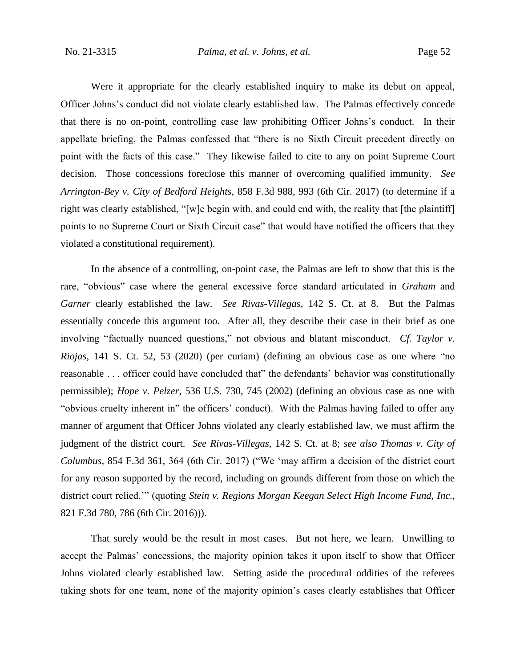Were it appropriate for the clearly established inquiry to make its debut on appeal, Officer Johns's conduct did not violate clearly established law. The Palmas effectively concede that there is no on-point, controlling case law prohibiting Officer Johns's conduct. In their appellate briefing, the Palmas confessed that "there is no Sixth Circuit precedent directly on point with the facts of this case." They likewise failed to cite to any on point Supreme Court decision. Those concessions foreclose this manner of overcoming qualified immunity. *See Arrington-Bey v. City of Bedford Heights*, 858 F.3d 988, 993 (6th Cir. 2017) (to determine if a right was clearly established, "[w]e begin with, and could end with, the reality that [the plaintiff] points to no Supreme Court or Sixth Circuit case" that would have notified the officers that they violated a constitutional requirement).

In the absence of a controlling, on-point case, the Palmas are left to show that this is the rare, "obvious" case where the general excessive force standard articulated in *Graham* and *Garner* clearly established the law. *See Rivas-Villegas*, 142 S. Ct. at 8. But the Palmas essentially concede this argument too. After all, they describe their case in their brief as one involving "factually nuanced questions," not obvious and blatant misconduct. *Cf. Taylor v. Riojas*, 141 S. Ct. 52, 53 (2020) (per curiam) (defining an obvious case as one where "no reasonable . . . officer could have concluded that" the defendants' behavior was constitutionally permissible); *Hope v. Pelzer*, 536 U.S. 730, 745 (2002) (defining an obvious case as one with "obvious cruelty inherent in" the officers' conduct). With the Palmas having failed to offer any manner of argument that Officer Johns violated any clearly established law, we must affirm the judgment of the district court. *See Rivas-Villegas*, 142 S. Ct. at 8; *see also Thomas v. City of Columbus*, 854 F.3d 361, 364 (6th Cir. 2017) ("We 'may affirm a decision of the district court for any reason supported by the record, including on grounds different from those on which the district court relied.'" (quoting *Stein v. Regions Morgan Keegan Select High Income Fund, Inc.*, 821 F.3d 780, 786 (6th Cir. 2016))).

That surely would be the result in most cases. But not here, we learn. Unwilling to accept the Palmas' concessions, the majority opinion takes it upon itself to show that Officer Johns violated clearly established law. Setting aside the procedural oddities of the referees taking shots for one team, none of the majority opinion's cases clearly establishes that Officer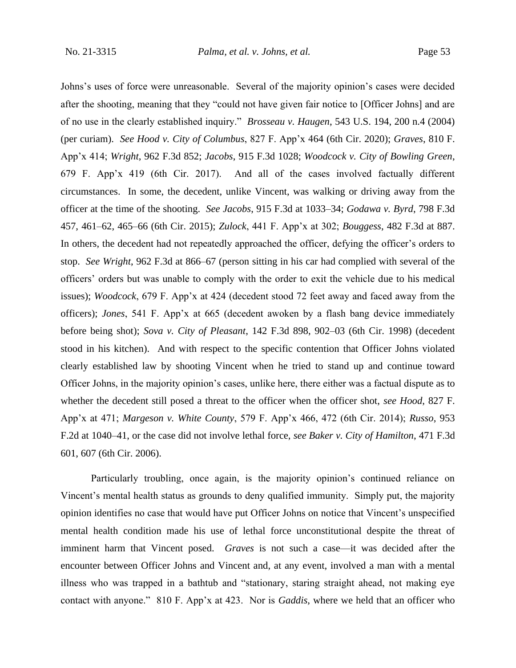Johns's uses of force were unreasonable. Several of the majority opinion's cases were decided after the shooting, meaning that they "could not have given fair notice to [Officer Johns] and are of no use in the clearly established inquiry." *Brosseau v. Haugen*, 543 U.S. 194, 200 n.4 (2004) (per curiam). *See Hood v. City of Columbus*, 827 F. App'x 464 (6th Cir. 2020); *Graves*, 810 F. App'x 414; *Wright*, 962 F.3d 852; *Jacobs*, 915 F.3d 1028; *Woodcock v. City of Bowling Green*, 679 F. App'x 419 (6th Cir. 2017). And all of the cases involved factually different circumstances. In some, the decedent, unlike Vincent, was walking or driving away from the officer at the time of the shooting. *See Jacobs*, 915 F.3d at 1033–34; *Godawa v. Byrd*, 798 F.3d 457, 461–62, 465–66 (6th Cir. 2015); *Zulock*, 441 F. App'x at 302; *Bouggess*, 482 F.3d at 887. In others, the decedent had not repeatedly approached the officer, defying the officer's orders to stop. *See Wright*, 962 F.3d at 866–67 (person sitting in his car had complied with several of the officers' orders but was unable to comply with the order to exit the vehicle due to his medical issues); *Woodcock*, 679 F. App'x at 424 (decedent stood 72 feet away and faced away from the officers); *Jones*, 541 F. App'x at 665 (decedent awoken by a flash bang device immediately before being shot); *Sova v. City of Pleasant*, 142 F.3d 898, 902–03 (6th Cir. 1998) (decedent stood in his kitchen).And with respect to the specific contention that Officer Johns violated clearly established law by shooting Vincent when he tried to stand up and continue toward Officer Johns, in the majority opinion's cases, unlike here, there either was a factual dispute as to whether the decedent still posed a threat to the officer when the officer shot, *see Hood*, 827 F. App'x at 471; *Margeson v. White County*, 579 F. App'x 466, 472 (6th Cir. 2014); *Russo*, 953 F.2d at 1040–41, or the case did not involve lethal force, *see Baker v. City of Hamilton*, 471 F.3d 601, 607 (6th Cir. 2006).

Particularly troubling, once again, is the majority opinion's continued reliance on Vincent's mental health status as grounds to deny qualified immunity. Simply put, the majority opinion identifies no case that would have put Officer Johns on notice that Vincent's unspecified mental health condition made his use of lethal force unconstitutional despite the threat of imminent harm that Vincent posed. *Graves* is not such a case—it was decided after the encounter between Officer Johns and Vincent and, at any event, involved a man with a mental illness who was trapped in a bathtub and "stationary, staring straight ahead, not making eye contact with anyone." 810 F. App'x at 423. Nor is *Gaddis*, where we held that an officer who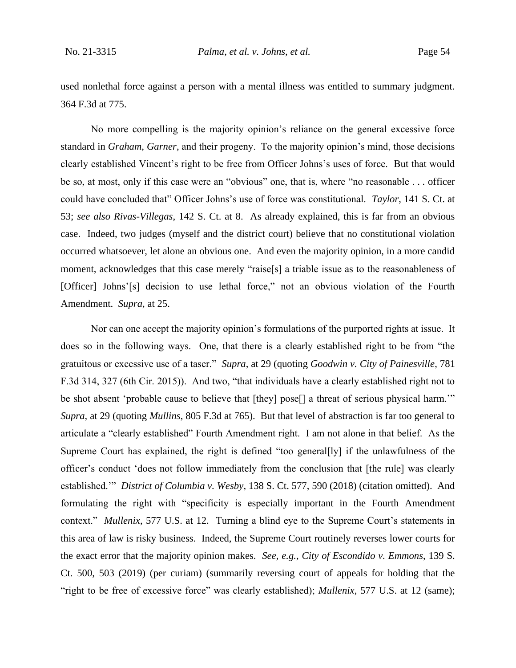used nonlethal force against a person with a mental illness was entitled to summary judgment. 364 F.3d at 775.

No more compelling is the majority opinion's reliance on the general excessive force standard in *Graham*, *Garner*, and their progeny. To the majority opinion's mind, those decisions clearly established Vincent's right to be free from Officer Johns's uses of force. But that would be so, at most, only if this case were an "obvious" one, that is, where "no reasonable . . . officer could have concluded that" Officer Johns's use of force was constitutional. *Taylor*, 141 S. Ct. at 53; *see also Rivas-Villegas*, 142 S. Ct. at 8. As already explained, this is far from an obvious case. Indeed, two judges (myself and the district court) believe that no constitutional violation occurred whatsoever, let alone an obvious one. And even the majority opinion, in a more candid moment, acknowledges that this case merely "raise[s] a triable issue as to the reasonableness of [Officer] Johns'[s] decision to use lethal force," not an obvious violation of the Fourth Amendment. *Supra*, at 25.

Nor can one accept the majority opinion's formulations of the purported rights at issue. It does so in the following ways. One, that there is a clearly established right to be from "the gratuitous or excessive use of a taser." *Supra*, at 29 (quoting *Goodwin v. City of Painesville*, 781 F.3d 314, 327 (6th Cir. 2015)). And two, "that individuals have a clearly established right not to be shot absent 'probable cause to believe that [they] pose[] a threat of serious physical harm."" *Supra*, at 29 (quoting *Mullins*, 805 F.3d at 765). But that level of abstraction is far too general to articulate a "clearly established" Fourth Amendment right. I am not alone in that belief. As the Supreme Court has explained, the right is defined "too general[ly] if the unlawfulness of the officer's conduct 'does not follow immediately from the conclusion that [the rule] was clearly established.'" *District of Columbia v. Wesby*, 138 S. Ct. 577, 590 (2018) (citation omitted). And formulating the right with "specificity is especially important in the Fourth Amendment context." *Mullenix*, 577 U.S. at 12. Turning a blind eye to the Supreme Court's statements in this area of law is risky business. Indeed, the Supreme Court routinely reverses lower courts for the exact error that the majority opinion makes. *See, e.g.*, *City of Escondido v. Emmons*, 139 S. Ct. 500, 503 (2019) (per curiam) (summarily reversing court of appeals for holding that the "right to be free of excessive force" was clearly established); *Mullenix*, 577 U.S. at 12 (same);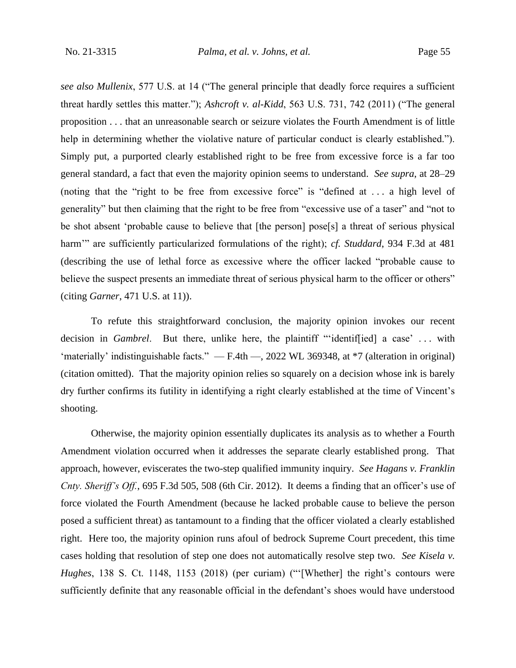*see also Mullenix*, 577 U.S. at 14 ("The general principle that deadly force requires a sufficient threat hardly settles this matter."); *Ashcroft v. al-Kidd*, 563 U.S. 731, 742 (2011) ("The general proposition . . . that an unreasonable search or seizure violates the Fourth Amendment is of little help in determining whether the violative nature of particular conduct is clearly established."). Simply put, a purported clearly established right to be free from excessive force is a far too general standard, a fact that even the majority opinion seems to understand. *See supra*, at 28–29 (noting that the "right to be free from excessive force" is "defined at . . . a high level of generality" but then claiming that the right to be free from "excessive use of a taser" and "not to be shot absent 'probable cause to believe that [the person] pose[s] a threat of serious physical harm'" are sufficiently particularized formulations of the right); *cf. Studdard*, 934 F.3d at 481 (describing the use of lethal force as excessive where the officer lacked "probable cause to believe the suspect presents an immediate threat of serious physical harm to the officer or others" (citing *Garner*, 471 U.S. at 11)).

To refute this straightforward conclusion, the majority opinion invokes our recent decision in *Gambrel*. But there, unlike here, the plaintiff "'identif[ied] a case' . . . with 'materially' indistinguishable facts." — F.4th —, 2022 WL 369348, at \*7 (alteration in original) (citation omitted). That the majority opinion relies so squarely on a decision whose ink is barely dry further confirms its futility in identifying a right clearly established at the time of Vincent's shooting.

Otherwise, the majority opinion essentially duplicates its analysis as to whether a Fourth Amendment violation occurred when it addresses the separate clearly established prong. That approach, however, eviscerates the two-step qualified immunity inquiry. *See Hagans v. Franklin Cnty. Sheriff's Off.*, 695 F.3d 505, 508 (6th Cir. 2012). It deems a finding that an officer's use of force violated the Fourth Amendment (because he lacked probable cause to believe the person posed a sufficient threat) as tantamount to a finding that the officer violated a clearly established right. Here too, the majority opinion runs afoul of bedrock Supreme Court precedent, this time cases holding that resolution of step one does not automatically resolve step two. *See Kisela v. Hughes*, 138 S. Ct. 1148, 1153 (2018) (per curiam) ("'[Whether] the right's contours were sufficiently definite that any reasonable official in the defendant's shoes would have understood